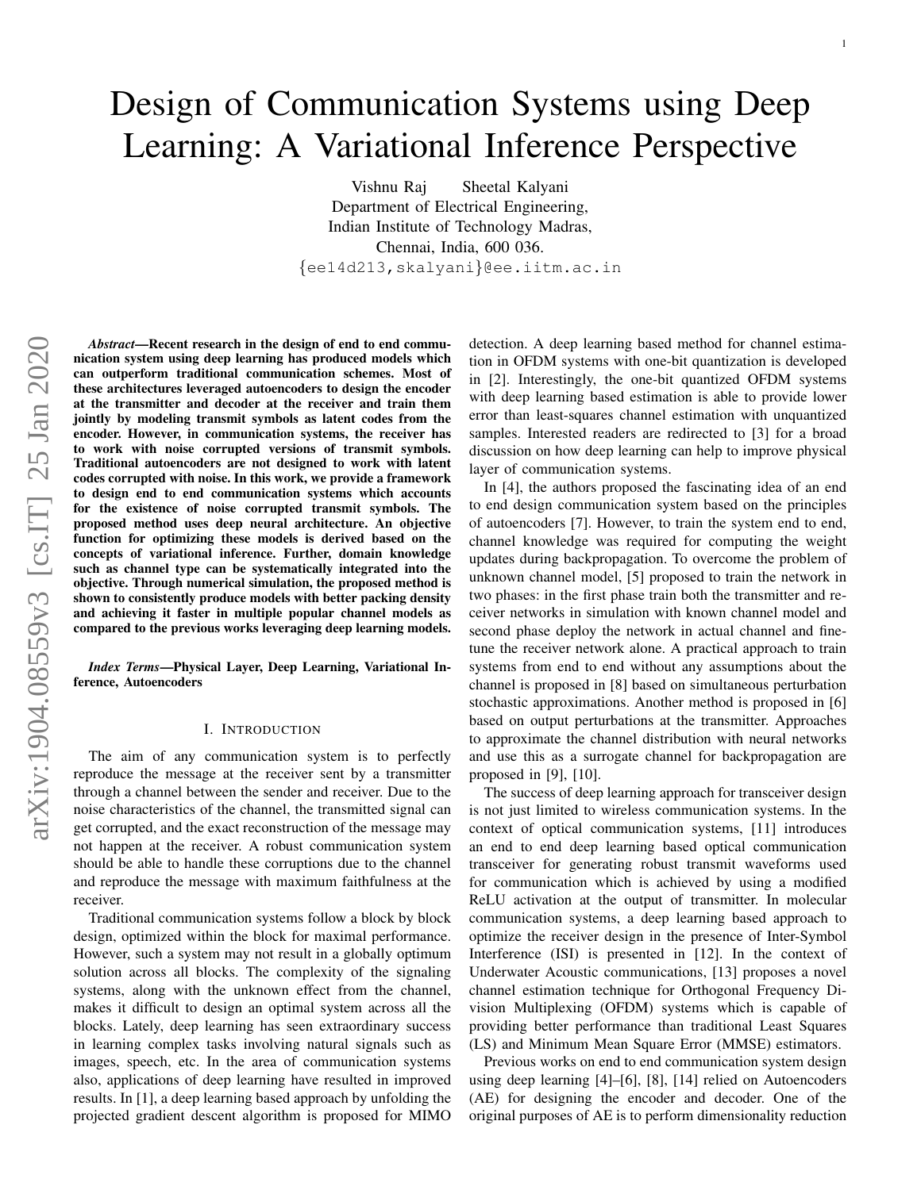# Design of Communication Systems using Deep Learning: A Variational Inference Perspective

Vishnu Raj Sheetal Kalyani Department of Electrical Engineering, Indian Institute of Technology Madras, Chennai, India, 600 036. {ee14d213,skalyani}@ee.iitm.ac.in

*Abstract*—Recent research in the design of end to end communication system using deep learning has produced models which can outperform traditional communication schemes. Most of these architectures leveraged autoencoders to design the encoder at the transmitter and decoder at the receiver and train them jointly by modeling transmit symbols as latent codes from the encoder. However, in communication systems, the receiver has to work with noise corrupted versions of transmit symbols. Traditional autoencoders are not designed to work with latent codes corrupted with noise. In this work, we provide a framework to design end to end communication systems which accounts for the existence of noise corrupted transmit symbols. The proposed method uses deep neural architecture. An objective function for optimizing these models is derived based on the concepts of variational inference. Further, domain knowledge such as channel type can be systematically integrated into the objective. Through numerical simulation, the proposed method is shown to consistently produce models with better packing density and achieving it faster in multiple popular channel models as compared to the previous works leveraging deep learning models.

*Index Terms*—Physical Layer, Deep Learning, Variational Inference, Autoencoders

#### I. INTRODUCTION

The aim of any communication system is to perfectly reproduce the message at the receiver sent by a transmitter through a channel between the sender and receiver. Due to the noise characteristics of the channel, the transmitted signal can get corrupted, and the exact reconstruction of the message may not happen at the receiver. A robust communication system should be able to handle these corruptions due to the channel and reproduce the message with maximum faithfulness at the receiver.

Traditional communication systems follow a block by block design, optimized within the block for maximal performance. However, such a system may not result in a globally optimum solution across all blocks. The complexity of the signaling systems, along with the unknown effect from the channel, makes it difficult to design an optimal system across all the blocks. Lately, deep learning has seen extraordinary success in learning complex tasks involving natural signals such as images, speech, etc. In the area of communication systems also, applications of deep learning have resulted in improved results. In [1], a deep learning based approach by unfolding the projected gradient descent algorithm is proposed for MIMO detection. A deep learning based method for channel estimation in OFDM systems with one-bit quantization is developed in [2]. Interestingly, the one-bit quantized OFDM systems with deep learning based estimation is able to provide lower error than least-squares channel estimation with unquantized samples. Interested readers are redirected to [3] for a broad discussion on how deep learning can help to improve physical layer of communication systems.

In [4], the authors proposed the fascinating idea of an end to end design communication system based on the principles of autoencoders [7]. However, to train the system end to end, channel knowledge was required for computing the weight updates during backpropagation. To overcome the problem of unknown channel model, [5] proposed to train the network in two phases: in the first phase train both the transmitter and receiver networks in simulation with known channel model and second phase deploy the network in actual channel and finetune the receiver network alone. A practical approach to train systems from end to end without any assumptions about the channel is proposed in [8] based on simultaneous perturbation stochastic approximations. Another method is proposed in [6] based on output perturbations at the transmitter. Approaches to approximate the channel distribution with neural networks and use this as a surrogate channel for backpropagation are proposed in [9], [10].

The success of deep learning approach for transceiver design is not just limited to wireless communication systems. In the context of optical communication systems, [11] introduces an end to end deep learning based optical communication transceiver for generating robust transmit waveforms used for communication which is achieved by using a modified ReLU activation at the output of transmitter. In molecular communication systems, a deep learning based approach to optimize the receiver design in the presence of Inter-Symbol Interference (ISI) is presented in [12]. In the context of Underwater Acoustic communications, [13] proposes a novel channel estimation technique for Orthogonal Frequency Division Multiplexing (OFDM) systems which is capable of providing better performance than traditional Least Squares (LS) and Minimum Mean Square Error (MMSE) estimators.

Previous works on end to end communication system design using deep learning [4]–[6], [8], [14] relied on Autoencoders (AE) for designing the encoder and decoder. One of the original purposes of AE is to perform dimensionality reduction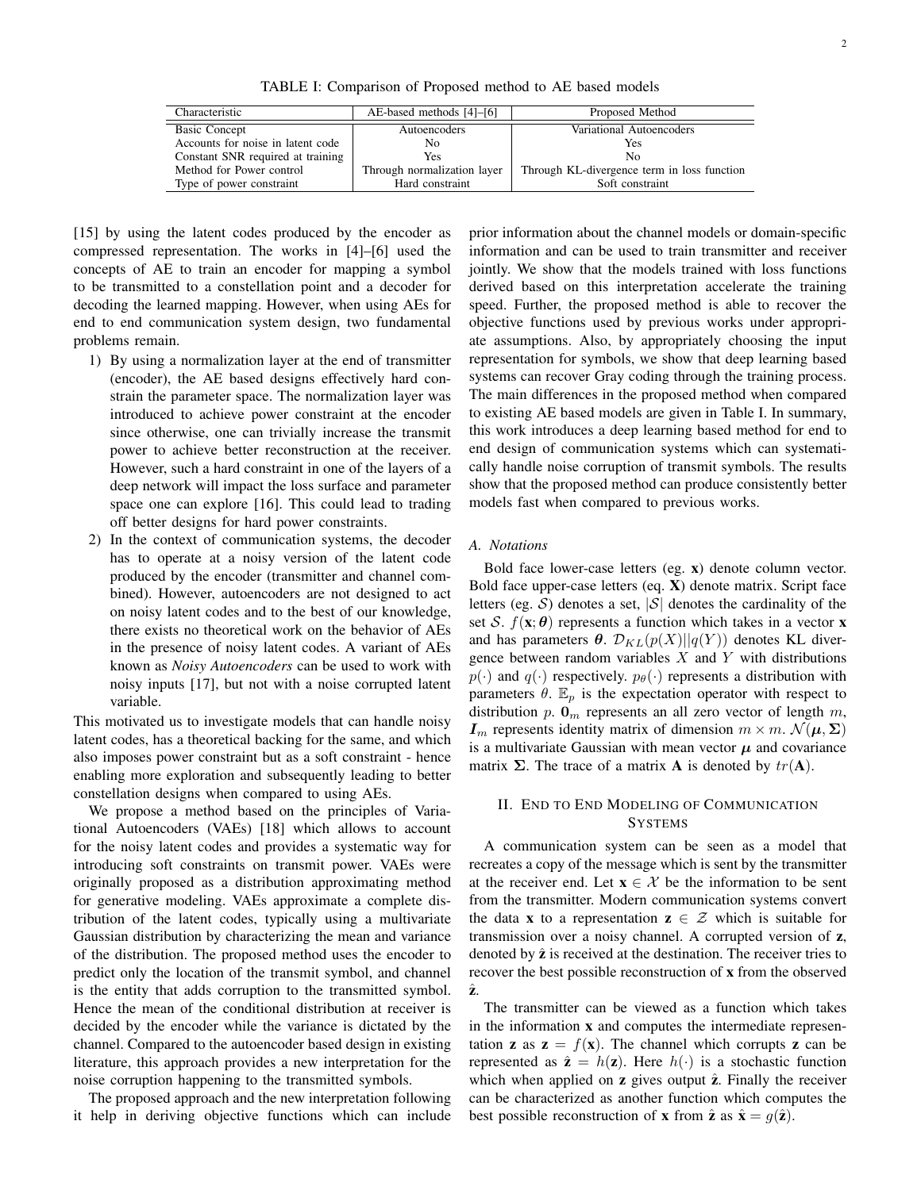TABLE I: Comparison of Proposed method to AE based models

| Characteristic                    | AE-based methods [4]–[6]    | Proposed Method                             |
|-----------------------------------|-----------------------------|---------------------------------------------|
| <b>Basic Concept</b>              | Autoencoders                | Variational Autoencoders                    |
| Accounts for noise in latent code | No                          | Yes                                         |
| Constant SNR required at training | Yes                         | N <sub>0</sub>                              |
| Method for Power control          | Through normalization layer | Through KL-divergence term in loss function |
| Type of power constraint          | Hard constraint             | Soft constraint                             |

[15] by using the latent codes produced by the encoder as compressed representation. The works in [4]–[6] used the concepts of AE to train an encoder for mapping a symbol to be transmitted to a constellation point and a decoder for decoding the learned mapping. However, when using AEs for end to end communication system design, two fundamental problems remain.

- 1) By using a normalization layer at the end of transmitter (encoder), the AE based designs effectively hard constrain the parameter space. The normalization layer was introduced to achieve power constraint at the encoder since otherwise, one can trivially increase the transmit power to achieve better reconstruction at the receiver. However, such a hard constraint in one of the layers of a deep network will impact the loss surface and parameter space one can explore [16]. This could lead to trading off better designs for hard power constraints.
- 2) In the context of communication systems, the decoder has to operate at a noisy version of the latent code produced by the encoder (transmitter and channel combined). However, autoencoders are not designed to act on noisy latent codes and to the best of our knowledge, there exists no theoretical work on the behavior of AEs in the presence of noisy latent codes. A variant of AEs known as *Noisy Autoencoders* can be used to work with noisy inputs [17], but not with a noise corrupted latent variable.

This motivated us to investigate models that can handle noisy latent codes, has a theoretical backing for the same, and which also imposes power constraint but as a soft constraint - hence enabling more exploration and subsequently leading to better constellation designs when compared to using AEs.

We propose a method based on the principles of Variational Autoencoders (VAEs) [18] which allows to account for the noisy latent codes and provides a systematic way for introducing soft constraints on transmit power. VAEs were originally proposed as a distribution approximating method for generative modeling. VAEs approximate a complete distribution of the latent codes, typically using a multivariate Gaussian distribution by characterizing the mean and variance of the distribution. The proposed method uses the encoder to predict only the location of the transmit symbol, and channel is the entity that adds corruption to the transmitted symbol. Hence the mean of the conditional distribution at receiver is decided by the encoder while the variance is dictated by the channel. Compared to the autoencoder based design in existing literature, this approach provides a new interpretation for the noise corruption happening to the transmitted symbols.

The proposed approach and the new interpretation following it help in deriving objective functions which can include

prior information about the channel models or domain-specific information and can be used to train transmitter and receiver jointly. We show that the models trained with loss functions derived based on this interpretation accelerate the training speed. Further, the proposed method is able to recover the objective functions used by previous works under appropriate assumptions. Also, by appropriately choosing the input representation for symbols, we show that deep learning based systems can recover Gray coding through the training process. The main differences in the proposed method when compared to existing AE based models are given in Table I. In summary, this work introduces a deep learning based method for end to end design of communication systems which can systematically handle noise corruption of transmit symbols. The results show that the proposed method can produce consistently better models fast when compared to previous works.

# *A. Notations*

Bold face lower-case letters (eg. x) denote column vector. Bold face upper-case letters (eq. X) denote matrix. Script face letters (eg. S) denotes a set,  $|S|$  denotes the cardinality of the set S.  $f(\mathbf{x}; \theta)$  represents a function which takes in a vector **x** and has parameters  $\theta$ .  $\mathcal{D}_{KL}(p(X)||q(Y))$  denotes KL divergence between random variables  $X$  and  $Y$  with distributions  $p(\cdot)$  and  $q(\cdot)$  respectively.  $p_{\theta}(\cdot)$  represents a distribution with parameters  $\theta$ .  $\mathbb{E}_p$  is the expectation operator with respect to distribution p.  $\mathbf{0}_m$  represents an all zero vector of length m,  $I_m$  represents identity matrix of dimension  $m \times m$ .  $\mathcal{N}(\boldsymbol{\mu}, \boldsymbol{\Sigma})$ is a multivariate Gaussian with mean vector  $\mu$  and covariance matrix  $\Sigma$ . The trace of a matrix **A** is denoted by  $tr(A)$ .

# II. END TO END MODELING OF COMMUNICATION **SYSTEMS**

A communication system can be seen as a model that recreates a copy of the message which is sent by the transmitter at the receiver end. Let  $x \in \mathcal{X}$  be the information to be sent from the transmitter. Modern communication systems convert the data **x** to a representation  $z \in \mathcal{Z}$  which is suitable for transmission over a noisy channel. A corrupted version of z, denoted by  $\hat{z}$  is received at the destination. The receiver tries to recover the best possible reconstruction of x from the observed ˆz.

The transmitter can be viewed as a function which takes in the information x and computes the intermediate representation **z** as  $z = f(x)$ . The channel which corrupts **z** can be represented as  $\hat{\mathbf{z}} = h(\mathbf{z})$ . Here  $h(\cdot)$  is a stochastic function which when applied on  $z$  gives output  $\hat{z}$ . Finally the receiver can be characterized as another function which computes the best possible reconstruction of **x** from  $\hat{\mathbf{z}}$  as  $\hat{\mathbf{x}} = g(\hat{\mathbf{z}})$ .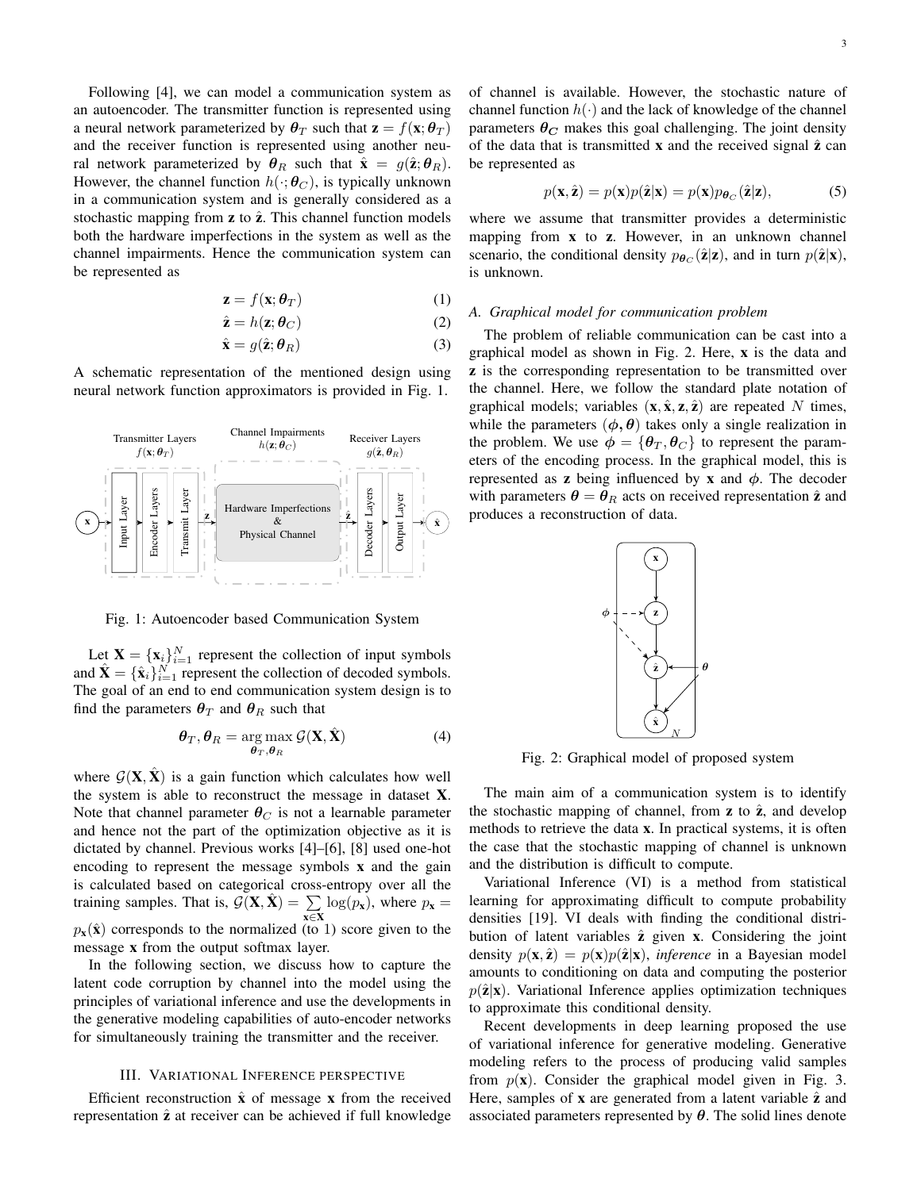Following [4], we can model a communication system as an autoencoder. The transmitter function is represented using a neural network parameterized by  $\theta_T$  such that  $\mathbf{z} = f(\mathbf{x}; \theta_T)$ and the receiver function is represented using another neural network parameterized by  $\theta_R$  such that  $\hat{\mathbf{x}} = g(\hat{\mathbf{z}}; \theta_R)$ . However, the channel function  $h(\cdot; \theta_C)$ , is typically unknown in a communication system and is generally considered as a stochastic mapping from  $z$  to  $\hat{z}$ . This channel function models both the hardware imperfections in the system as well as the channel impairments. Hence the communication system can be represented as

$$
\mathbf{z} = f(\mathbf{x}; \boldsymbol{\theta}_T) \tag{1}
$$

$$
\hat{\mathbf{z}} = h(\mathbf{z}; \boldsymbol{\theta}_C) \tag{2}
$$

$$
\hat{\mathbf{x}} = g(\hat{\mathbf{z}}; \boldsymbol{\theta}_R) \tag{3}
$$

A schematic representation of the mentioned design using neural network function approximators is provided in Fig. 1.



Fig. 1: Autoencoder based Communication System

Let  $X = \{x_i\}_{i=1}^N$  represent the collection of input symbols and  $\hat{\mathbf{X}} = {\hat{\mathbf{x}}_i}_{i=1}^N$  represent the collection of decoded symbols. The goal of an end to end communication system design is to find the parameters  $\theta_T$  and  $\theta_R$  such that

$$
\boldsymbol{\theta}_T, \boldsymbol{\theta}_R = \underset{\boldsymbol{\theta}_T, \boldsymbol{\theta}_R}{\arg \max} \mathcal{G}(\mathbf{X}, \hat{\mathbf{X}})
$$
(4)

where  $G(X, \hat{X})$  is a gain function which calculates how well the system is able to reconstruct the message in dataset X. Note that channel parameter  $\theta_C$  is not a learnable parameter and hence not the part of the optimization objective as it is dictated by channel. Previous works [4]–[6], [8] used one-hot encoding to represent the message symbols x and the gain is calculated based on categorical cross-entropy over all the training samples. That is,  $\mathcal{G}(\mathbf{X}, \hat{\mathbf{X}}) = \sum$  $\sum_{\mathbf{x} \in \mathbf{X}} \log(p_{\mathbf{x}})$ , where  $p_{\mathbf{x}} =$  $p_{\mathbf{x}}(\hat{\mathbf{x}})$  corresponds to the normalized (to 1) score given to the message x from the output softmax layer.

In the following section, we discuss how to capture the latent code corruption by channel into the model using the principles of variational inference and use the developments in the generative modeling capabilities of auto-encoder networks for simultaneously training the transmitter and the receiver.

#### III. VARIATIONAL INFERENCE PERSPECTIVE

Efficient reconstruction  $\hat{x}$  of message x from the received representation  $\hat{z}$  at receiver can be achieved if full knowledge of channel is available. However, the stochastic nature of channel function  $h(\cdot)$  and the lack of knowledge of the channel parameters  $\theta_C$  makes this goal challenging. The joint density of the data that is transmitted  $x$  and the received signal  $\hat{z}$  can be represented as

$$
p(\mathbf{x}, \hat{\mathbf{z}}) = p(\mathbf{x})p(\hat{\mathbf{z}}|\mathbf{x}) = p(\mathbf{x})p_{\theta_C}(\hat{\mathbf{z}}|\mathbf{z}),
$$
(5)

where we assume that transmitter provides a deterministic mapping from **x** to **z**. However, in an unknown channel scenario, the conditional density  $p_{\theta C}(\hat{\mathbf{z}}|\mathbf{z})$ , and in turn  $p(\hat{\mathbf{z}}|\mathbf{x})$ , is unknown.

#### *A. Graphical model for communication problem*

The problem of reliable communication can be cast into a graphical model as shown in Fig. 2. Here, x is the data and z is the corresponding representation to be transmitted over the channel. Here, we follow the standard plate notation of graphical models; variables  $(\mathbf{x}, \hat{\mathbf{x}}, \mathbf{z}, \hat{\mathbf{z}})$  are repeated N times, while the parameters  $(\phi, \theta)$  takes only a single realization in the problem. We use  $\phi = {\theta_T, \theta_C}$  to represent the parameters of the encoding process. In the graphical model, this is represented as z being influenced by x and  $\phi$ . The decoder with parameters  $\theta = \theta_R$  acts on received representation  $\hat{z}$  and produces a reconstruction of data.



Fig. 2: Graphical model of proposed system

The main aim of a communication system is to identify the stochastic mapping of channel, from  $z$  to  $\hat{z}$ , and develop methods to retrieve the data x. In practical systems, it is often the case that the stochastic mapping of channel is unknown and the distribution is difficult to compute.

Variational Inference (VI) is a method from statistical learning for approximating difficult to compute probability densities [19]. VI deals with finding the conditional distribution of latent variables  $\hat{z}$  given x. Considering the joint density  $p(\mathbf{x}, \hat{\mathbf{z}}) = p(\mathbf{x})p(\hat{\mathbf{z}}|\mathbf{x})$ , *inference* in a Bayesian model amounts to conditioning on data and computing the posterior  $p(\hat{\mathbf{z}}|\mathbf{x})$ . Variational Inference applies optimization techniques to approximate this conditional density.

Recent developments in deep learning proposed the use of variational inference for generative modeling. Generative modeling refers to the process of producing valid samples from  $p(x)$ . Consider the graphical model given in Fig. 3. Here, samples of  $x$  are generated from a latent variable  $\hat{z}$  and associated parameters represented by  $\theta$ . The solid lines denote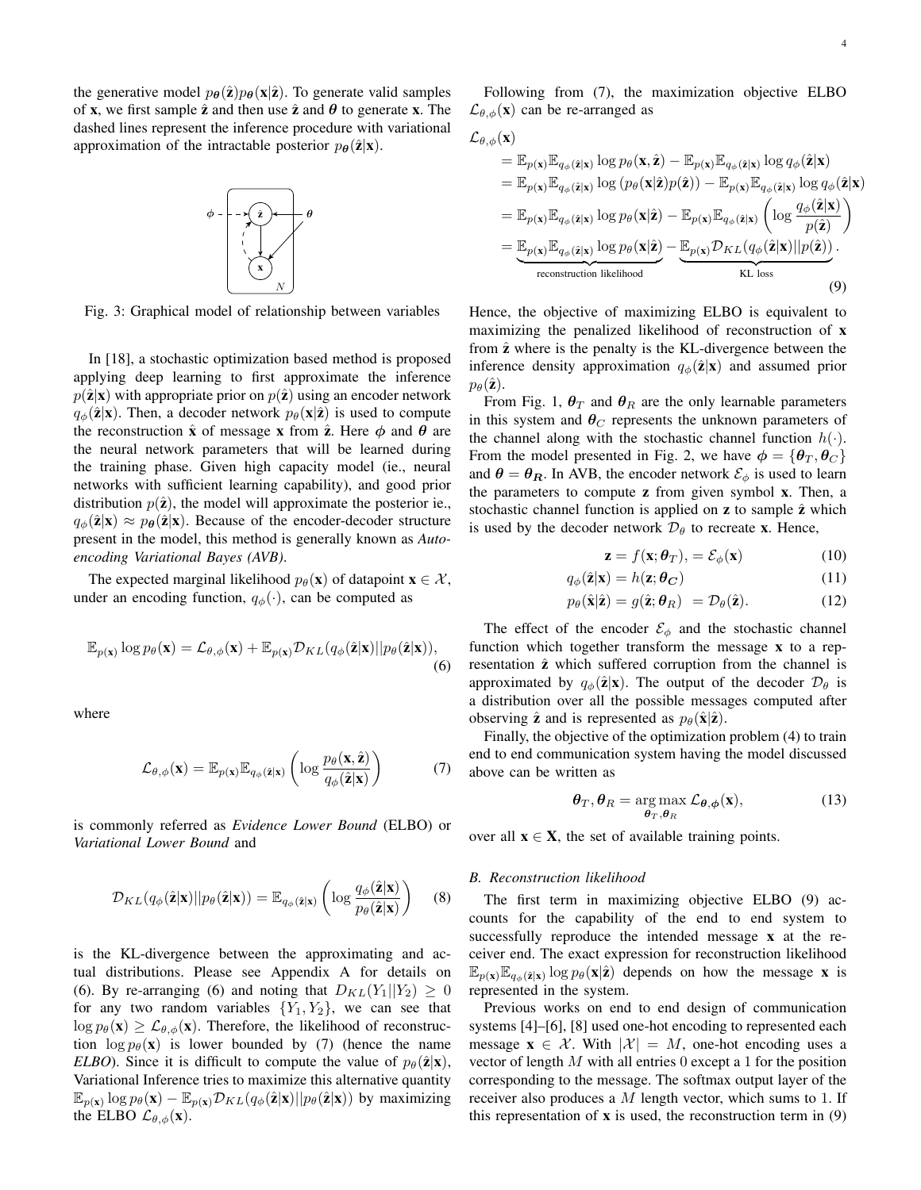the generative model  $p_{\theta}(\hat{\mathbf{z}})p_{\theta}(\mathbf{x}|\hat{\mathbf{z}})$ . To generate valid samples of **x**, we first sample  $\hat{z}$  and then use  $\hat{z}$  and  $\theta$  to generate **x**. The dashed lines represent the inference procedure with variational approximation of the intractable posterior  $p_{\theta}(\hat{\mathbf{z}}|\mathbf{x})$ .



Fig. 3: Graphical model of relationship between variables

In [18], a stochastic optimization based method is proposed applying deep learning to first approximate the inference  $p(\hat{\mathbf{z}}|\mathbf{x})$  with appropriate prior on  $p(\hat{\mathbf{z}})$  using an encoder network  $q_{\phi}(\hat{\mathbf{z}}|\mathbf{x})$ . Then, a decoder network  $p_{\theta}(\mathbf{x}|\hat{\mathbf{z}})$  is used to compute the reconstruction  $\hat{x}$  of message x from  $\hat{z}$ . Here  $\phi$  and  $\theta$  are the neural network parameters that will be learned during the training phase. Given high capacity model (ie., neural networks with sufficient learning capability), and good prior distribution  $p(\hat{z})$ , the model will approximate the posterior ie.,  $q_{\phi}(\hat{\mathbf{z}}|\mathbf{x}) \approx p_{\theta}(\hat{\mathbf{z}}|\mathbf{x})$ . Because of the encoder-decoder structure present in the model, this method is generally known as *Autoencoding Variational Bayes (AVB)*.

The expected marginal likelihood  $p_{\theta}(\mathbf{x})$  of datapoint  $\mathbf{x} \in \mathcal{X}$ , under an encoding function,  $q_{\phi}(\cdot)$ , can be computed as

$$
\mathbb{E}_{p(\mathbf{x})}\log p_{\theta}(\mathbf{x}) = \mathcal{L}_{\theta,\phi}(\mathbf{x}) + \mathbb{E}_{p(\mathbf{x})}\mathcal{D}_{KL}(q_{\phi}(\hat{\mathbf{z}}|\mathbf{x})||p_{\theta}(\hat{\mathbf{z}}|\mathbf{x})),
$$
\n(6)

where

$$
\mathcal{L}_{\theta,\phi}(\mathbf{x}) = \mathbb{E}_{p(\mathbf{x})} \mathbb{E}_{q_{\phi}(\hat{\mathbf{z}}|\mathbf{x})} \left( \log \frac{p_{\theta}(\mathbf{x}, \hat{\mathbf{z}})}{q_{\phi}(\hat{\mathbf{z}}|\mathbf{x})} \right)
$$
(7)

is commonly referred as *Evidence Lower Bound* (ELBO) or *Variational Lower Bound* and

$$
\mathcal{D}_{KL}(q_{\phi}(\hat{\mathbf{z}}|\mathbf{x})||p_{\theta}(\hat{\mathbf{z}}|\mathbf{x})) = \mathbb{E}_{q_{\phi}(\hat{\mathbf{z}}|\mathbf{x})} \left( \log \frac{q_{\phi}(\hat{\mathbf{z}}|\mathbf{x})}{p_{\theta}(\hat{\mathbf{z}}|\mathbf{x})} \right)
$$
(8)

is the KL-divergence between the approximating and actual distributions. Please see Appendix A for details on (6). By re-arranging (6) and noting that  $D_{KL}(Y_1||Y_2) \geq 0$ for any two random variables  ${Y_1, Y_2}$ , we can see that  $\log p_{\theta}(\mathbf{x}) \geq \mathcal{L}_{\theta,\phi}(\mathbf{x})$ . Therefore, the likelihood of reconstruction  $\log p_{\theta}(\mathbf{x})$  is lower bounded by (7) (hence the name *ELBO*). Since it is difficult to compute the value of  $p_\theta(\hat{\mathbf{z}}|\mathbf{x})$ , Variational Inference tries to maximize this alternative quantity  $\mathbb{E}_{p(\mathbf{x})} \log p_{\theta}(\mathbf{x}) - \mathbb{E}_{p(\mathbf{x})} \mathcal{D}_{KL}(q_{\phi}(\hat{\mathbf{z}}|\mathbf{x})||p_{\theta}(\hat{\mathbf{z}}|\mathbf{x}))$  by maximizing the ELBO  $\mathcal{L}_{\theta,\phi}(\mathbf{x})$ .

Following from (7), the maximization objective ELBO  $\mathcal{L}_{\theta,\phi}(\mathbf{x})$  can be re-arranged as

$$
\mathcal{L}_{\theta,\phi}(\mathbf{x}) = \mathbb{E}_{p(\mathbf{x})} \mathbb{E}_{q_{\phi}(\hat{\mathbf{z}}|\mathbf{x})} \log p_{\theta}(\mathbf{x}, \hat{\mathbf{z}}) - \mathbb{E}_{p(\mathbf{x})} \mathbb{E}_{q_{\phi}(\hat{\mathbf{z}}|\mathbf{x})} \log q_{\phi}(\hat{\mathbf{z}}|\mathbf{x}) \n= \mathbb{E}_{p(\mathbf{x})} \mathbb{E}_{q_{\phi}(\hat{\mathbf{z}}|\mathbf{x})} \log (p_{\theta}(\mathbf{x}|\hat{\mathbf{z}}) p(\hat{\mathbf{z}})) - \mathbb{E}_{p(\mathbf{x})} \mathbb{E}_{q_{\phi}(\hat{\mathbf{z}}|\mathbf{x})} \log q_{\phi}(\hat{\mathbf{z}}|\mathbf{x}) \n= \mathbb{E}_{p(\mathbf{x})} \mathbb{E}_{q_{\phi}(\hat{\mathbf{z}}|\mathbf{x})} \log p_{\theta}(\mathbf{x}|\hat{\mathbf{z}}) - \mathbb{E}_{p(\mathbf{x})} \mathbb{E}_{q_{\phi}(\hat{\mathbf{z}}|\mathbf{x})} \left( \log \frac{q_{\phi}(\hat{\mathbf{z}}|\mathbf{x})}{p(\hat{\mathbf{z}})} \right) \n= \underbrace{\mathbb{E}_{p(\mathbf{x})} \mathbb{E}_{q_{\phi}(\hat{\mathbf{z}}|\mathbf{x})} \log p_{\theta}(\mathbf{x}|\hat{\mathbf{z}})}_{\text{reconstruction likelihood}} - \underbrace{\mathbb{E}_{p(\mathbf{x})} \mathcal{D}_{KL}(q_{\phi}(\hat{\mathbf{z}}|\mathbf{x}) || p(\hat{\mathbf{z}}))}_{\text{KL loss}}. (9)
$$

Hence, the objective of maximizing ELBO is equivalent to maximizing the penalized likelihood of reconstruction of x from  $\hat{z}$  where is the penalty is the KL-divergence between the inference density approximation  $q_{\phi}(\hat{\mathbf{z}}|\mathbf{x})$  and assumed prior  $p_{\theta}(\hat{\mathbf{z}})$ .

From Fig. 1,  $\theta_T$  and  $\theta_R$  are the only learnable parameters in this system and  $\theta_C$  represents the unknown parameters of the channel along with the stochastic channel function  $h(\cdot)$ . From the model presented in Fig. 2, we have  $\phi = {\theta_T, \theta_C}$ and  $\theta = \theta_R$ . In AVB, the encoder network  $\mathcal{E}_{\phi}$  is used to learn the parameters to compute z from given symbol x. Then, a stochastic channel function is applied on  $z$  to sample  $\hat{z}$  which is used by the decoder network  $\mathcal{D}_{\theta}$  to recreate **x**. Hence,

$$
\mathbf{z} = f(\mathbf{x}; \boldsymbol{\theta}_T), = \mathcal{E}_{\phi}(\mathbf{x}) \tag{10}
$$

$$
q_{\phi}(\hat{\mathbf{z}}|\mathbf{x}) = h(\mathbf{z}; \boldsymbol{\theta}_{\mathbf{C}}) \tag{11}
$$

$$
p_{\theta}(\hat{\mathbf{x}}|\hat{\mathbf{z}}) = g(\hat{\mathbf{z}};\theta_R) = \mathcal{D}_{\theta}(\hat{\mathbf{z}}).
$$
 (12)

The effect of the encoder  $\mathcal{E}_{\phi}$  and the stochastic channel function which together transform the message x to a representation  $\hat{z}$  which suffered corruption from the channel is approximated by  $q_{\phi}(\hat{\mathbf{z}}|\mathbf{x})$ . The output of the decoder  $\mathcal{D}_{\theta}$  is a distribution over all the possible messages computed after observing  $\hat{z}$  and is represented as  $p_{\theta}(\hat{x}|\hat{z})$ .

Finally, the objective of the optimization problem (4) to train end to end communication system having the model discussed above can be written as

$$
\boldsymbol{\theta}_T, \boldsymbol{\theta}_R = \underset{\boldsymbol{\theta}_T, \boldsymbol{\theta}_R}{\arg \max} \mathcal{L}_{\boldsymbol{\theta}, \boldsymbol{\phi}}(\mathbf{x}), \tag{13}
$$

over all  $x \in X$ , the set of available training points.

#### *B. Reconstruction likelihood*

The first term in maximizing objective ELBO (9) accounts for the capability of the end to end system to successfully reproduce the intended message x at the receiver end. The exact expression for reconstruction likelihood  $\mathbb{E}_{p(\mathbf{x})} \mathbb{E}_{q_{\phi}(\hat{\mathbf{z}}|\mathbf{x})} \log p_{\theta}(\mathbf{x}|\hat{\mathbf{z}})$  depends on how the message **x** is represented in the system.

Previous works on end to end design of communication systems [4]–[6], [8] used one-hot encoding to represented each message  $\mathbf{x} \in \mathcal{X}$ . With  $|\mathcal{X}| = M$ , one-hot encoding uses a vector of length M with all entries 0 except a 1 for the position corresponding to the message. The softmax output layer of the receiver also produces a  $M$  length vector, which sums to 1. If this representation of  $x$  is used, the reconstruction term in  $(9)$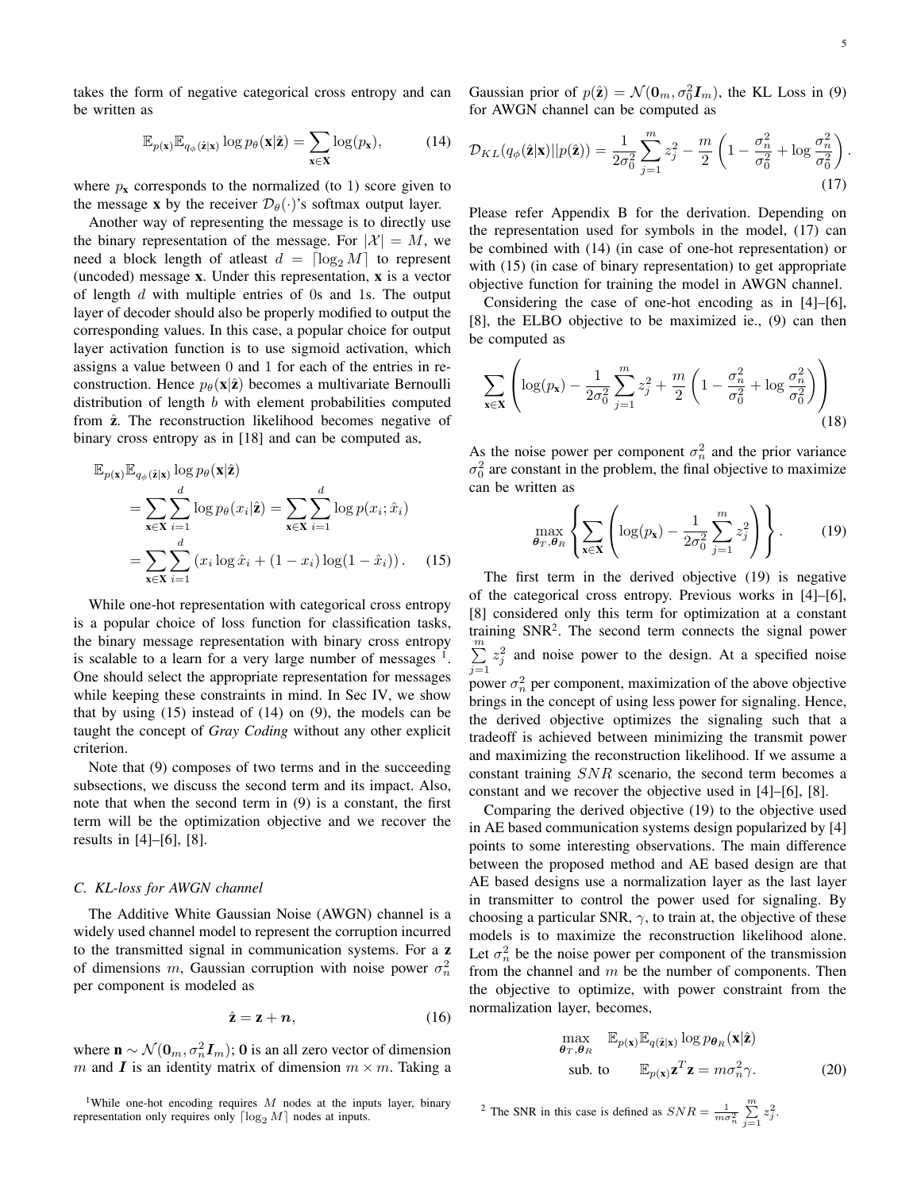takes the form of negative categorical cross entropy and can be written as

$$
\mathbb{E}_{p(\mathbf{x})} \mathbb{E}_{q_{\phi}(\hat{\mathbf{z}}|\mathbf{x})} \log p_{\theta}(\mathbf{x}|\hat{\mathbf{z}}) = \sum_{\mathbf{x} \in \mathbf{X}} \log(p_{\mathbf{x}}), \quad (14)
$$

where  $p_x$  corresponds to the normalized (to 1) score given to the message x by the receiver  $\mathcal{D}_{\theta}(\cdot)$ 's softmax output layer.

Another way of representing the message is to directly use the binary representation of the message. For  $|\mathcal{X}| = M$ , we need a block length of atleast  $d = \lceil \log_2 M \rceil$  to represent (uncoded) message x. Under this representation, x is a vector of length  $d$  with multiple entries of 0s and 1s. The output layer of decoder should also be properly modified to output the corresponding values. In this case, a popular choice for output layer activation function is to use sigmoid activation, which assigns a value between 0 and 1 for each of the entries in reconstruction. Hence  $p_{\theta}(\mathbf{x}|\hat{\mathbf{z}})$  becomes a multivariate Bernoulli distribution of length b with element probabilities computed from  $\hat{z}$ . The reconstruction likelihood becomes negative of binary cross entropy as in [18] and can be computed as,

$$
\mathbb{E}_{p(\mathbf{x})} \mathbb{E}_{q_{\phi}(\hat{\mathbf{z}}|\mathbf{x})} \log p_{\theta}(\mathbf{x}|\hat{\mathbf{z}})
$$
\n
$$
= \sum_{\mathbf{x} \in \mathbf{X}} \sum_{i=1}^{d} \log p_{\theta}(x_i|\hat{\mathbf{z}}) = \sum_{\mathbf{x} \in \mathbf{X}} \sum_{i=1}^{d} \log p(x_i; \hat{x}_i)
$$
\n
$$
= \sum_{\mathbf{x} \in \mathbf{X}} \sum_{i=1}^{d} (x_i \log \hat{x}_i + (1 - x_i) \log(1 - \hat{x}_i)). \quad (15)
$$

While one-hot representation with categorical cross entropy is a popular choice of loss function for classification tasks, the binary message representation with binary cross entropy is scalable to a learn for a very large number of messages  $<sup>1</sup>$ .</sup> One should select the appropriate representation for messages while keeping these constraints in mind. In Sec IV, we show that by using  $(15)$  instead of  $(14)$  on  $(9)$ , the models can be taught the concept of *Gray Coding* without any other explicit criterion.

Note that (9) composes of two terms and in the succeeding subsections, we discuss the second term and its impact. Also, note that when the second term in (9) is a constant, the first term will be the optimization objective and we recover the results in [4]–[6], [8].

#### *C. KL-loss for AWGN channel*

The Additive White Gaussian Noise (AWGN) channel is a widely used channel model to represent the corruption incurred to the transmitted signal in communication systems. For a z of dimensions m, Gaussian corruption with noise power  $\sigma_n^2$ per component is modeled as

$$
\hat{\mathbf{z}} = \mathbf{z} + \mathbf{n},\tag{16}
$$

where  $\mathbf{n} \sim \mathcal{N}(\mathbf{0}_m, \sigma_n^2 \mathbf{I}_m)$ ; 0 is an all zero vector of dimension m and I is an identity matrix of dimension  $m \times m$ . Taking a

<sup>1</sup>While one-hot encoding requires  $M$  nodes at the inputs layer, binary representation only requires only  $\lceil \log_2 M \rceil$  nodes at inputs.

Gaussian prior of  $p(\hat{\mathbf{z}}) = \mathcal{N}(\mathbf{0}_m, \sigma_0^2 \mathbf{I}_m)$ , the KL Loss in (9) for AWGN channel can be computed as

$$
\mathcal{D}_{KL}(q_{\phi}(\hat{\mathbf{z}}|\mathbf{x})||p(\hat{\mathbf{z}})) = \frac{1}{2\sigma_0^2} \sum_{j=1}^m z_j^2 - \frac{m}{2} \left(1 - \frac{\sigma_n^2}{\sigma_0^2} + \log \frac{\sigma_n^2}{\sigma_0^2}\right).
$$
\n(17)

Please refer Appendix B for the derivation. Depending on the representation used for symbols in the model, (17) can be combined with (14) (in case of one-hot representation) or with (15) (in case of binary representation) to get appropriate objective function for training the model in AWGN channel.

Considering the case of one-hot encoding as in [4]–[6], [8], the ELBO objective to be maximized ie., (9) can then be computed as

$$
\sum_{\mathbf{x} \in \mathbf{X}} \left( \log(p_{\mathbf{x}}) - \frac{1}{2\sigma_0^2} \sum_{j=1}^m z_j^2 + \frac{m}{2} \left( 1 - \frac{\sigma_n^2}{\sigma_0^2} + \log \frac{\sigma_n^2}{\sigma_0^2} \right) \right)
$$
(18)

As the noise power per component  $\sigma_n^2$  and the prior variance  $\sigma_0^2$  are constant in the problem, the final objective to maximize can be written as

$$
\max_{\boldsymbol{\theta}_T, \boldsymbol{\theta}_R} \left\{ \sum_{\mathbf{x} \in \mathbf{X}} \left( \log(p_\mathbf{x}) - \frac{1}{2\sigma_0^2} \sum_{j=1}^m z_j^2 \right) \right\}.
$$
 (19)

The first term in the derived objective (19) is negative of the categorical cross entropy. Previous works in [4]–[6], [8] considered only this term for optimization at a constant training  $SNR<sup>2</sup>$ . The second term connects the signal power  $\sum_{i=1}^{m}$  $j=1$  $z_j^2$  and noise power to the design. At a specified noise power  $\sigma_n^2$  per component, maximization of the above objective brings in the concept of using less power for signaling. Hence, the derived objective optimizes the signaling such that a tradeoff is achieved between minimizing the transmit power and maximizing the reconstruction likelihood. If we assume a constant training SNR scenario, the second term becomes a constant and we recover the objective used in [4]–[6], [8].

Comparing the derived objective (19) to the objective used in AE based communication systems design popularized by [4] points to some interesting observations. The main difference between the proposed method and AE based design are that AE based designs use a normalization layer as the last layer in transmitter to control the power used for signaling. By choosing a particular SNR,  $\gamma$ , to train at, the objective of these models is to maximize the reconstruction likelihood alone. Let  $\sigma_n^2$  be the noise power per component of the transmission from the channel and  $m$  be the number of components. Then the objective to optimize, with power constraint from the normalization layer, becomes,

$$
\max_{\boldsymbol{\theta}_T, \boldsymbol{\theta}_R} \mathbb{E}_{p(\mathbf{x})} \mathbb{E}_{q(\hat{\mathbf{z}}|\mathbf{x})} \log p_{\boldsymbol{\theta}_R}(\mathbf{x}|\hat{\mathbf{z}})
$$
\n
$$
\text{sub. to } \mathbb{E}_{p(\mathbf{x})} \mathbf{z}^T \mathbf{z} = m \sigma_n^2 \gamma. \tag{20}
$$

<sup>2</sup> The SNR in this case is defined as  $SNR = \frac{1}{m\sigma_n^2} \sum_{j=1}^m z_j^2$ .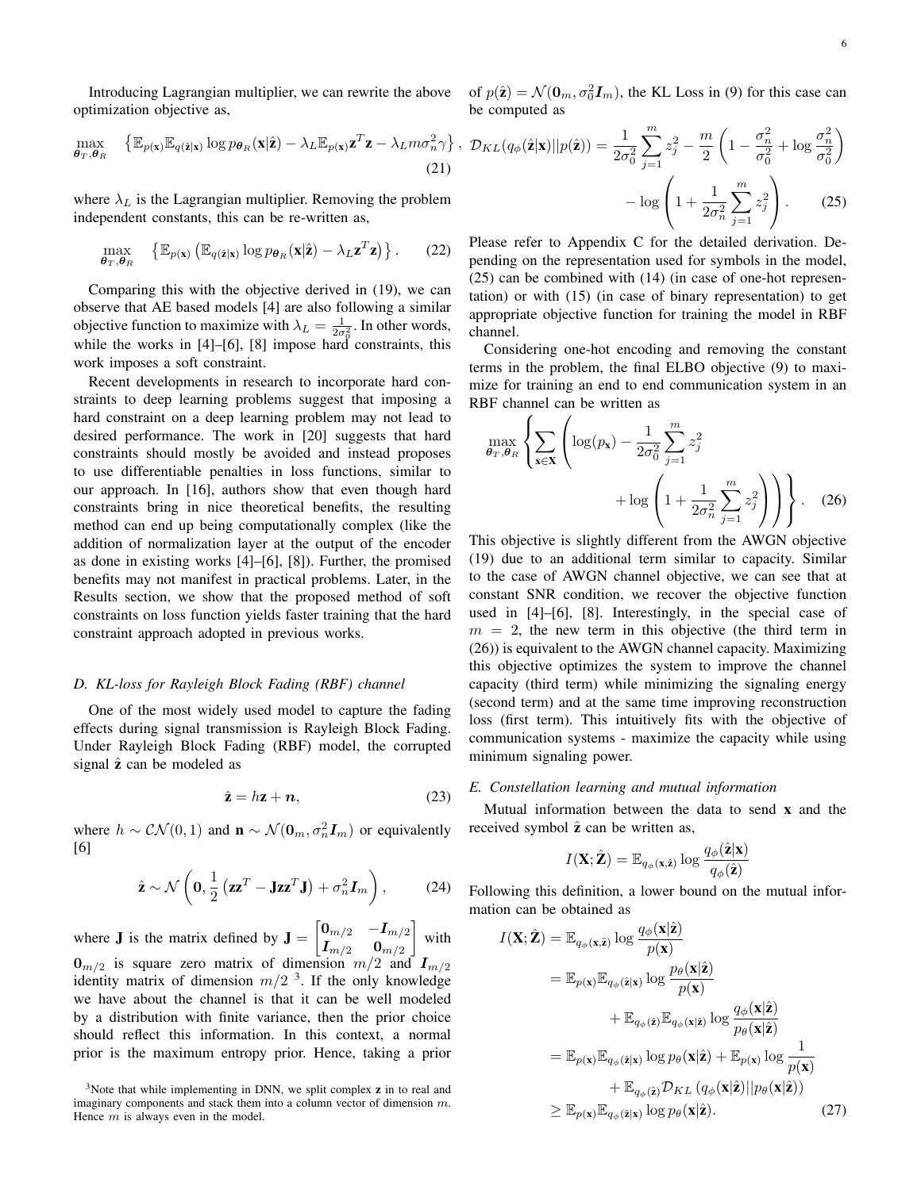$$
\max_{\boldsymbol{\theta}_T, \boldsymbol{\theta}_R} \quad \left\{ \mathbb{E}_{p(\mathbf{x})} \mathbb{E}_{q(\hat{\mathbf{z}}|\mathbf{x})} \log p_{\boldsymbol{\theta}_R}(\mathbf{x}|\hat{\mathbf{z}}) - \lambda_L \mathbb{E}_{p(\mathbf{x})} \mathbf{z}^T \mathbf{z} - \lambda_L m \sigma_n^2 \gamma \right\},
$$
\n(21)

where  $\lambda_L$  is the Lagrangian multiplier. Removing the problem independent constants, this can be re-written as,

$$
\max_{\boldsymbol{\theta}_T, \boldsymbol{\theta}_R} \quad \left\{ \mathbb{E}_{p(\mathbf{x})} \left( \mathbb{E}_{q(\hat{\mathbf{z}}|\mathbf{x})} \log p_{\boldsymbol{\theta}_R}(\mathbf{x}|\hat{\mathbf{z}}) - \lambda_L \mathbf{z}^T \mathbf{z} \right) \right\}.
$$
 (22)

Comparing this with the objective derived in (19), we can observe that AE based models [4] are also following a similar objective function to maximize with  $\lambda_L = \frac{1}{2\sigma_0^2}$ . In other words, while the works in [4]–[6], [8] impose hard constraints, this work imposes a soft constraint.

Recent developments in research to incorporate hard constraints to deep learning problems suggest that imposing a hard constraint on a deep learning problem may not lead to desired performance. The work in [20] suggests that hard constraints should mostly be avoided and instead proposes to use differentiable penalties in loss functions, similar to our approach. In [16], authors show that even though hard constraints bring in nice theoretical benefits, the resulting method can end up being computationally complex (like the addition of normalization layer at the output of the encoder as done in existing works [4]–[6], [8]). Further, the promised benefits may not manifest in practical problems. Later, in the Results section, we show that the proposed method of soft constraints on loss function yields faster training that the hard constraint approach adopted in previous works.

# *D. KL-loss for Rayleigh Block Fading (RBF) channel*

One of the most widely used model to capture the fading effects during signal transmission is Rayleigh Block Fading. Under Rayleigh Block Fading (RBF) model, the corrupted signal  $\hat{z}$  can be modeled as

$$
\hat{\mathbf{z}} = h\mathbf{z} + \mathbf{n},\tag{23}
$$

where  $h \sim \mathcal{CN}(0, 1)$  and  $\mathbf{n} \sim \mathcal{N}(\mathbf{0}_m, \sigma_n^2 \mathbf{I}_m)$  or equivalently [6]

$$
\hat{\mathbf{z}} \sim \mathcal{N}\left(\mathbf{0}, \frac{1}{2} \left(\mathbf{z}\mathbf{z}^T - \mathbf{J}\mathbf{z}\mathbf{z}^T\mathbf{J}\right) + \sigma_n^2 \mathbf{I}_m\right),\tag{24}
$$

where **J** is the matrix defined by  $\mathbf{J} = \begin{bmatrix} 0_{m/2} & -I_{m/2} \\ I_1 & 0 \end{bmatrix}$  $\overline{\bm{I}_{m/2}}-\bm{0}_{m/2}$  $\vert$  with  $\mathbf{0}_{m/2}$  is square zero matrix of dimension  $m/2$  and  $\mathbf{I}_{m/2}$ identity matrix of dimension  $m/2^{-3}$ . If the only knowledge we have about the channel is that it can be well modeled by a distribution with finite variance, then the prior choice should reflect this information. In this context, a normal prior is the maximum entropy prior. Hence, taking a prior

of  $p(\hat{\mathbf{z}}) = \mathcal{N}(\mathbf{0}_m, \sigma_0^2 \mathbf{I}_m)$ , the KL Loss in (9) for this case can be computed as

$$
\mathcal{D}_{KL}(q_{\phi}(\hat{\mathbf{z}}|\mathbf{x})||p(\hat{\mathbf{z}})) = \frac{1}{2\sigma_0^2} \sum_{j=1}^m z_j^2 - \frac{m}{2} \left(1 - \frac{\sigma_n^2}{\sigma_0^2} + \log \frac{\sigma_n^2}{\sigma_0^2}\right) - \log \left(1 + \frac{1}{2\sigma_n^2} \sum_{j=1}^m z_j^2\right).
$$
 (25)

Please refer to Appendix C for the detailed derivation. Depending on the representation used for symbols in the model, (25) can be combined with (14) (in case of one-hot representation) or with (15) (in case of binary representation) to get appropriate objective function for training the model in RBF channel.

Considering one-hot encoding and removing the constant terms in the problem, the final ELBO objective (9) to maximize for training an end to end communication system in an RBF channel can be written as

$$
\max_{\boldsymbol{\theta}_T, \boldsymbol{\theta}_R} \left\{ \sum_{\mathbf{x} \in \mathbf{X}} \left( \log(p_\mathbf{x}) - \frac{1}{2\sigma_0^2} \sum_{j=1}^m z_j^2 + \log \left( 1 + \frac{1}{2\sigma_n^2} \sum_{j=1}^m z_j^2 \right) \right) \right\}.
$$
 (26)

This objective is slightly different from the AWGN objective (19) due to an additional term similar to capacity. Similar to the case of AWGN channel objective, we can see that at constant SNR condition, we recover the objective function used in [4]–[6], [8]. Interestingly, in the special case of  $m = 2$ , the new term in this objective (the third term in (26)) is equivalent to the AWGN channel capacity. Maximizing this objective optimizes the system to improve the channel capacity (third term) while minimizing the signaling energy (second term) and at the same time improving reconstruction loss (first term). This intuitively fits with the objective of communication systems - maximize the capacity while using minimum signaling power.

# *E. Constellation learning and mutual information*

Mutual information between the data to send  $x$  and the received symbol  $\hat{z}$  can be written as,

$$
I(\mathbf{X}; \hat{\mathbf{Z}}) = \mathbb{E}_{q_{\phi}(\mathbf{x}, \hat{\mathbf{z}})} \log \frac{q_{\phi}(\hat{\mathbf{z}}|\mathbf{x})}{q_{\phi}(\hat{\mathbf{z}})}
$$

Following this definition, a lower bound on the mutual information can be obtained as

$$
I(\mathbf{X}; \hat{\mathbf{Z}}) = \mathbb{E}_{q_{\phi}(\mathbf{x}, \hat{\mathbf{z}})} \log \frac{q_{\phi}(\mathbf{x} | \hat{\mathbf{z}})}{p(\mathbf{x})}
$$
  
\n
$$
= \mathbb{E}_{p(\mathbf{x})} \mathbb{E}_{q_{\phi}(\hat{\mathbf{z}} | \mathbf{x})} \log \frac{p_{\theta}(\mathbf{x} | \hat{\mathbf{z}})}{p(\mathbf{x})}
$$
  
\n
$$
+ \mathbb{E}_{q_{\phi}(\hat{\mathbf{z}})} \mathbb{E}_{q_{\phi}(\mathbf{x} | \hat{\mathbf{z}})} \log \frac{q_{\phi}(\mathbf{x} | \hat{\mathbf{z}})}{p_{\theta}(\mathbf{x} | \hat{\mathbf{z}})}
$$
  
\n
$$
= \mathbb{E}_{p(\mathbf{x})} \mathbb{E}_{q_{\phi}(\hat{\mathbf{z}} | \mathbf{x})} \log p_{\theta}(\mathbf{x} | \hat{\mathbf{z}}) + \mathbb{E}_{p(\mathbf{x})} \log \frac{1}{p(\mathbf{x})}
$$
  
\n
$$
+ \mathbb{E}_{q_{\phi}(\hat{\mathbf{z}})} \mathcal{D}_{KL} (q_{\phi}(\mathbf{x} | \hat{\mathbf{z}}) || p_{\theta}(\mathbf{x} | \hat{\mathbf{z}}))
$$
  
\n
$$
\geq \mathbb{E}_{p(\mathbf{x})} \mathbb{E}_{q_{\phi}(\hat{\mathbf{z}} | \mathbf{x})} \log p_{\theta}(\mathbf{x} | \hat{\mathbf{z}}).
$$
 (27)

<sup>&</sup>lt;sup>3</sup>Note that while implementing in DNN, we split complex **z** in to real and imaginary components and stack them into a column vector of dimension m. Hence  $m$  is always even in the model.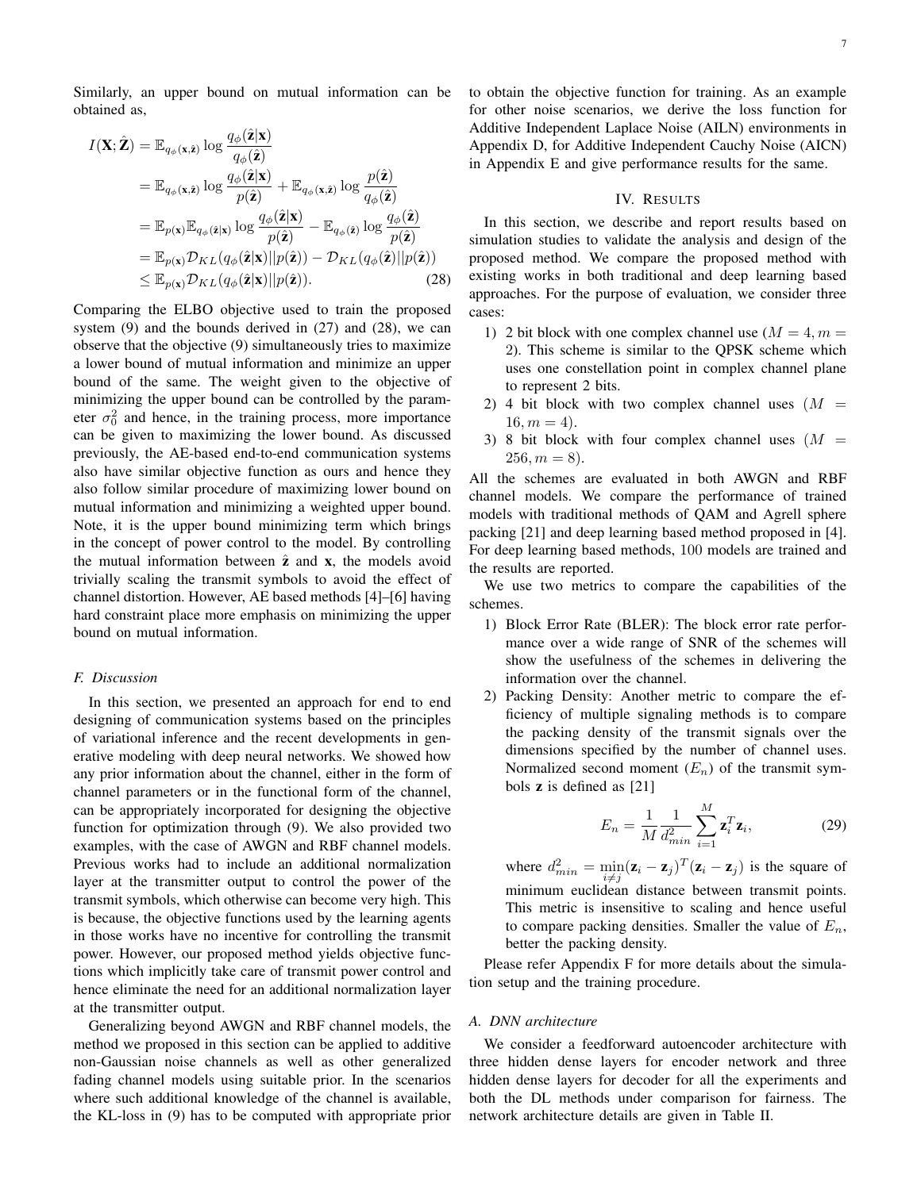Similarly, an upper bound on mutual information can be obtained as,

$$
I(\mathbf{X}; \hat{\mathbf{Z}}) = \mathbb{E}_{q_{\phi}(\mathbf{x}, \hat{\mathbf{z}})} \log \frac{q_{\phi}(\hat{\mathbf{z}}|\mathbf{x})}{q_{\phi}(\hat{\mathbf{z}})}
$$
  
\n
$$
= \mathbb{E}_{q_{\phi}(\mathbf{x}, \hat{\mathbf{z}})} \log \frac{q_{\phi}(\hat{\mathbf{z}}|\mathbf{x})}{p(\hat{\mathbf{z}})} + \mathbb{E}_{q_{\phi}(\mathbf{x}, \hat{\mathbf{z}})} \log \frac{p(\hat{\mathbf{z}})}{q_{\phi}(\hat{\mathbf{z}})}
$$
  
\n
$$
= \mathbb{E}_{p(\mathbf{x})} \mathbb{E}_{q_{\phi}(\hat{\mathbf{z}}|\mathbf{x})} \log \frac{q_{\phi}(\hat{\mathbf{z}}|\mathbf{x})}{p(\hat{\mathbf{z}})} - \mathbb{E}_{q_{\phi}(\hat{\mathbf{z}})} \log \frac{q_{\phi}(\hat{\mathbf{z}})}{p(\hat{\mathbf{z}})}
$$
  
\n
$$
= \mathbb{E}_{p(\mathbf{x})} \mathcal{D}_{KL}(q_{\phi}(\hat{\mathbf{z}}|\mathbf{x}) || p(\hat{\mathbf{z}})) - \mathcal{D}_{KL}(q_{\phi}(\hat{\mathbf{z}})|| p(\hat{\mathbf{z}}))
$$
  
\n
$$
\leq \mathbb{E}_{p(\mathbf{x})} \mathcal{D}_{KL}(q_{\phi}(\hat{\mathbf{z}}|\mathbf{x}) || p(\hat{\mathbf{z}})).
$$
 (28)

Comparing the ELBO objective used to train the proposed system  $(9)$  and the bounds derived in  $(27)$  and  $(28)$ , we can observe that the objective (9) simultaneously tries to maximize a lower bound of mutual information and minimize an upper bound of the same. The weight given to the objective of minimizing the upper bound can be controlled by the parameter  $\sigma_0^2$  and hence, in the training process, more importance can be given to maximizing the lower bound. As discussed previously, the AE-based end-to-end communication systems also have similar objective function as ours and hence they also follow similar procedure of maximizing lower bound on mutual information and minimizing a weighted upper bound. Note, it is the upper bound minimizing term which brings in the concept of power control to the model. By controlling the mutual information between  $\hat{z}$  and  $x$ , the models avoid trivially scaling the transmit symbols to avoid the effect of channel distortion. However, AE based methods [4]–[6] having hard constraint place more emphasis on minimizing the upper bound on mutual information.

# *F. Discussion*

In this section, we presented an approach for end to end designing of communication systems based on the principles of variational inference and the recent developments in generative modeling with deep neural networks. We showed how any prior information about the channel, either in the form of channel parameters or in the functional form of the channel, can be appropriately incorporated for designing the objective function for optimization through (9). We also provided two examples, with the case of AWGN and RBF channel models. Previous works had to include an additional normalization layer at the transmitter output to control the power of the transmit symbols, which otherwise can become very high. This is because, the objective functions used by the learning agents in those works have no incentive for controlling the transmit power. However, our proposed method yields objective functions which implicitly take care of transmit power control and hence eliminate the need for an additional normalization layer at the transmitter output.

Generalizing beyond AWGN and RBF channel models, the method we proposed in this section can be applied to additive non-Gaussian noise channels as well as other generalized fading channel models using suitable prior. In the scenarios where such additional knowledge of the channel is available, the KL-loss in (9) has to be computed with appropriate prior to obtain the objective function for training. As an example for other noise scenarios, we derive the loss function for Additive Independent Laplace Noise (AILN) environments in Appendix D, for Additive Independent Cauchy Noise (AICN) in Appendix E and give performance results for the same.

# IV. RESULTS

In this section, we describe and report results based on simulation studies to validate the analysis and design of the proposed method. We compare the proposed method with existing works in both traditional and deep learning based approaches. For the purpose of evaluation, we consider three cases:

- 1) 2 bit block with one complex channel use  $(M = 4, m = 1)$ 2). This scheme is similar to the QPSK scheme which uses one constellation point in complex channel plane to represent 2 bits.
- 2) 4 bit block with two complex channel uses  $(M =$  $16, m = 4$ .
- 3) 8 bit block with four complex channel uses  $(M =$  $256, m = 8$ .

All the schemes are evaluated in both AWGN and RBF channel models. We compare the performance of trained models with traditional methods of QAM and Agrell sphere packing [21] and deep learning based method proposed in [4]. For deep learning based methods, 100 models are trained and the results are reported.

We use two metrics to compare the capabilities of the schemes.

- 1) Block Error Rate (BLER): The block error rate performance over a wide range of SNR of the schemes will show the usefulness of the schemes in delivering the information over the channel.
- 2) Packing Density: Another metric to compare the efficiency of multiple signaling methods is to compare the packing density of the transmit signals over the dimensions specified by the number of channel uses. Normalized second moment  $(E_n)$  of the transmit symbols z is defined as [21]

$$
E_n = \frac{1}{M} \frac{1}{d_{min}^2} \sum_{i=1}^M \mathbf{z}_i^T \mathbf{z}_i, \tag{29}
$$

where  $d_{min}^2 = \min_{i \neq j} (\mathbf{z}_i - \mathbf{z}_j)^T (\mathbf{z}_i - \mathbf{z}_j)$  is the square of minimum euclidean distance between transmit points. This metric is insensitive to scaling and hence useful to compare packing densities. Smaller the value of  $E_n$ , better the packing density.

Please refer Appendix F for more details about the simulation setup and the training procedure.

#### *A. DNN architecture*

We consider a feedforward autoencoder architecture with three hidden dense layers for encoder network and three hidden dense layers for decoder for all the experiments and both the DL methods under comparison for fairness. The network architecture details are given in Table II.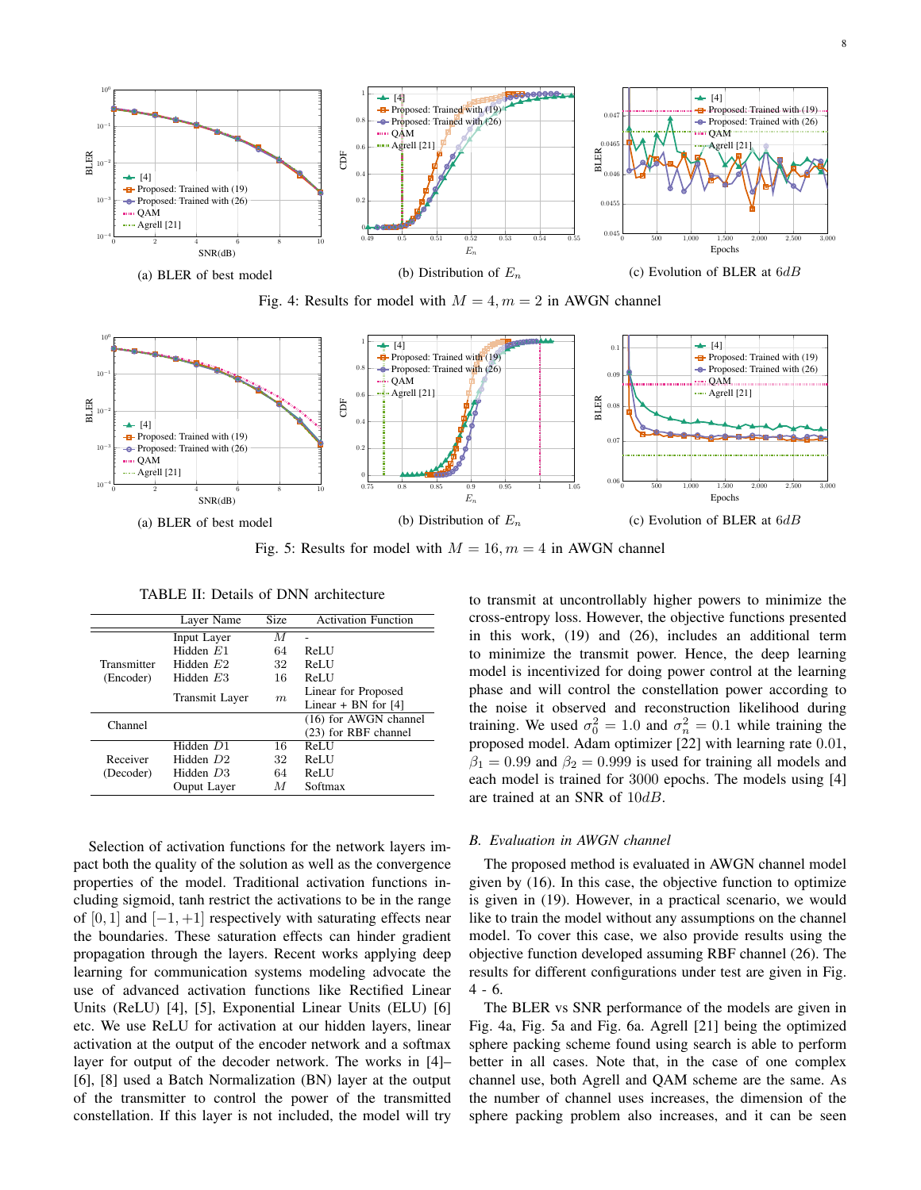





Fig. 5: Results for model with  $M = 16$ ,  $m = 4$  in AWGN channel

|                       | Layer Name     | Size | <b>Activation Function</b> |
|-----------------------|----------------|------|----------------------------|
|                       | Input Layer    | M    |                            |
|                       | Hidden $E1$    | 64   | <b>ReLU</b>                |
| Transmitter           | Hidden $E2$    | 32   | ReLU                       |
| (Encoder)             | Hidden $E3$    | 16   | ReLU                       |
|                       | Transmit Layer | m    | Linear for Proposed        |
|                       |                |      | Linear + BN for $[4]$      |
| Channel               |                |      | (16) for AWGN channel      |
|                       |                |      | (23) for RBF channel       |
| Receiver<br>(Decoder) | Hidden D1      | 16   | <b>ReLU</b>                |
|                       | Hidden D2      | 32   | ReLU                       |
|                       | Hidden D3      | 64   | ReLU                       |
|                       | Ouput Layer    | М    | Softmax                    |

TABLE II: Details of DNN architecture

Selection of activation functions for the network layers impact both the quality of the solution as well as the convergence properties of the model. Traditional activation functions including sigmoid, tanh restrict the activations to be in the range of [0, 1] and  $[-1, +1]$  respectively with saturating effects near the boundaries. These saturation effects can hinder gradient propagation through the layers. Recent works applying deep learning for communication systems modeling advocate the use of advanced activation functions like Rectified Linear Units (ReLU) [4], [5], Exponential Linear Units (ELU) [6] etc. We use ReLU for activation at our hidden layers, linear activation at the output of the encoder network and a softmax layer for output of the decoder network. The works in [4]– [6], [8] used a Batch Normalization (BN) layer at the output of the transmitter to control the power of the transmitted constellation. If this layer is not included, the model will try to transmit at uncontrollably higher powers to minimize the cross-entropy loss. However, the objective functions presented in this work, (19) and (26), includes an additional term to minimize the transmit power. Hence, the deep learning model is incentivized for doing power control at the learning phase and will control the constellation power according to the noise it observed and reconstruction likelihood during training. We used  $\sigma_0^2 = 1.0$  and  $\sigma_n^2 = 0.1$  while training the proposed model. Adam optimizer [22] with learning rate 0.01,  $\beta_1 = 0.99$  and  $\beta_2 = 0.999$  is used for training all models and each model is trained for 3000 epochs. The models using [4] are trained at an SNR of 10dB.

#### *B. Evaluation in AWGN channel*

The proposed method is evaluated in AWGN channel model given by (16). In this case, the objective function to optimize is given in (19). However, in a practical scenario, we would like to train the model without any assumptions on the channel model. To cover this case, we also provide results using the objective function developed assuming RBF channel (26). The results for different configurations under test are given in Fig. 4 - 6.

The BLER vs SNR performance of the models are given in Fig. 4a, Fig. 5a and Fig. 6a. Agrell [21] being the optimized sphere packing scheme found using search is able to perform better in all cases. Note that, in the case of one complex channel use, both Agrell and QAM scheme are the same. As the number of channel uses increases, the dimension of the sphere packing problem also increases, and it can be seen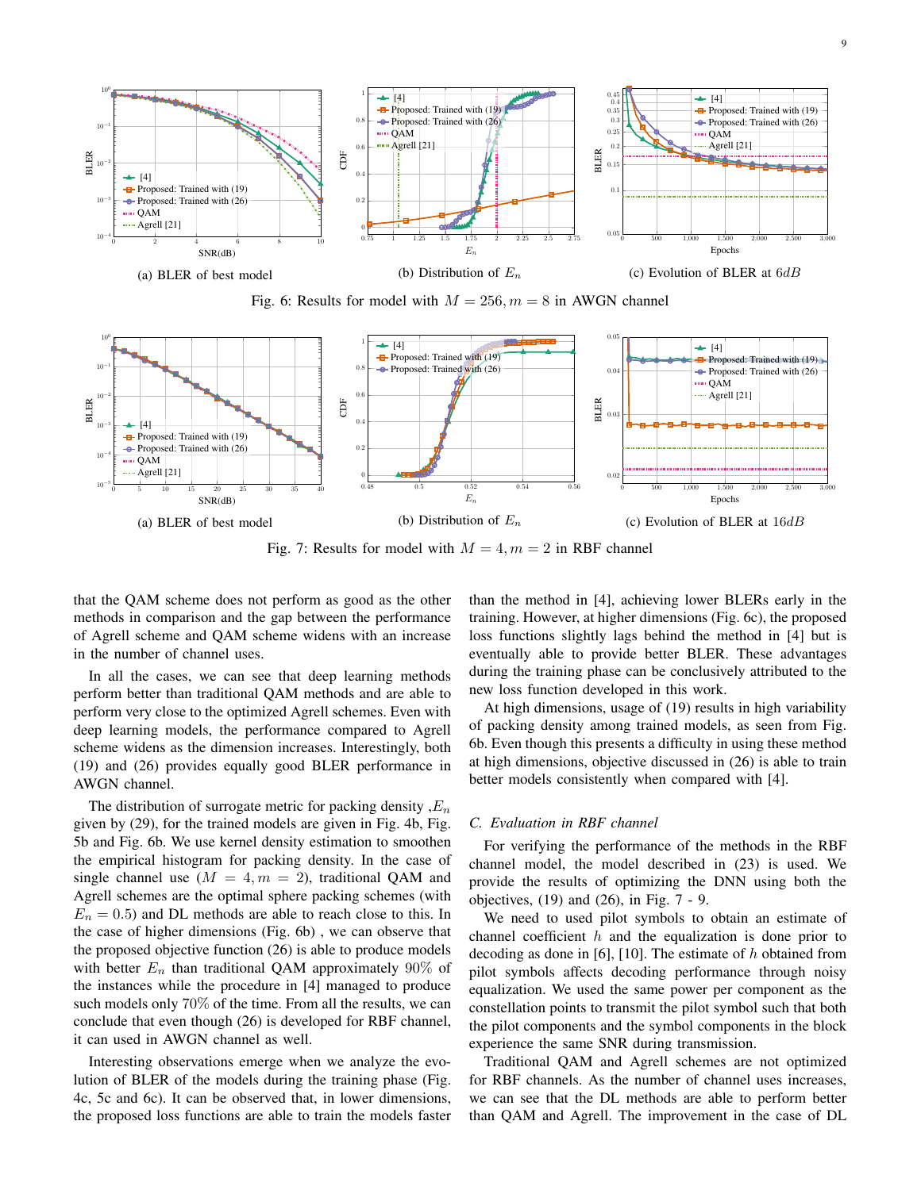





Fig. 7: Results for model with  $M = 4, m = 2$  in RBF channel

that the QAM scheme does not perform as good as the other methods in comparison and the gap between the performance of Agrell scheme and QAM scheme widens with an increase in the number of channel uses.

In all the cases, we can see that deep learning methods perform better than traditional QAM methods and are able to perform very close to the optimized Agrell schemes. Even with deep learning models, the performance compared to Agrell scheme widens as the dimension increases. Interestingly, both (19) and (26) provides equally good BLER performance in AWGN channel.

The distribution of surrogate metric for packing density  $E_n$ given by (29), for the trained models are given in Fig. 4b, Fig. 5b and Fig. 6b. We use kernel density estimation to smoothen the empirical histogram for packing density. In the case of single channel use  $(M = 4, m = 2)$ , traditional QAM and Agrell schemes are the optimal sphere packing schemes (with  $E_n = 0.5$ ) and DL methods are able to reach close to this. In the case of higher dimensions (Fig. 6b) , we can observe that the proposed objective function (26) is able to produce models with better  $E_n$  than traditional QAM approximately 90% of the instances while the procedure in [4] managed to produce such models only 70% of the time. From all the results, we can conclude that even though (26) is developed for RBF channel, it can used in AWGN channel as well.

Interesting observations emerge when we analyze the evolution of BLER of the models during the training phase (Fig. 4c, 5c and 6c). It can be observed that, in lower dimensions, the proposed loss functions are able to train the models faster than the method in [4], achieving lower BLERs early in the training. However, at higher dimensions (Fig. 6c), the proposed loss functions slightly lags behind the method in [4] but is eventually able to provide better BLER. These advantages during the training phase can be conclusively attributed to the new loss function developed in this work.

At high dimensions, usage of (19) results in high variability of packing density among trained models, as seen from Fig. 6b. Even though this presents a difficulty in using these method at high dimensions, objective discussed in (26) is able to train better models consistently when compared with [4].

#### *C. Evaluation in RBF channel*

For verifying the performance of the methods in the RBF channel model, the model described in (23) is used. We provide the results of optimizing the DNN using both the objectives, (19) and (26), in Fig. 7 - 9.

We need to used pilot symbols to obtain an estimate of channel coefficient  $h$  and the equalization is done prior to decoding as done in [6], [10]. The estimate of  $h$  obtained from pilot symbols affects decoding performance through noisy equalization. We used the same power per component as the constellation points to transmit the pilot symbol such that both the pilot components and the symbol components in the block experience the same SNR during transmission.

Traditional QAM and Agrell schemes are not optimized for RBF channels. As the number of channel uses increases, we can see that the DL methods are able to perform better than QAM and Agrell. The improvement in the case of DL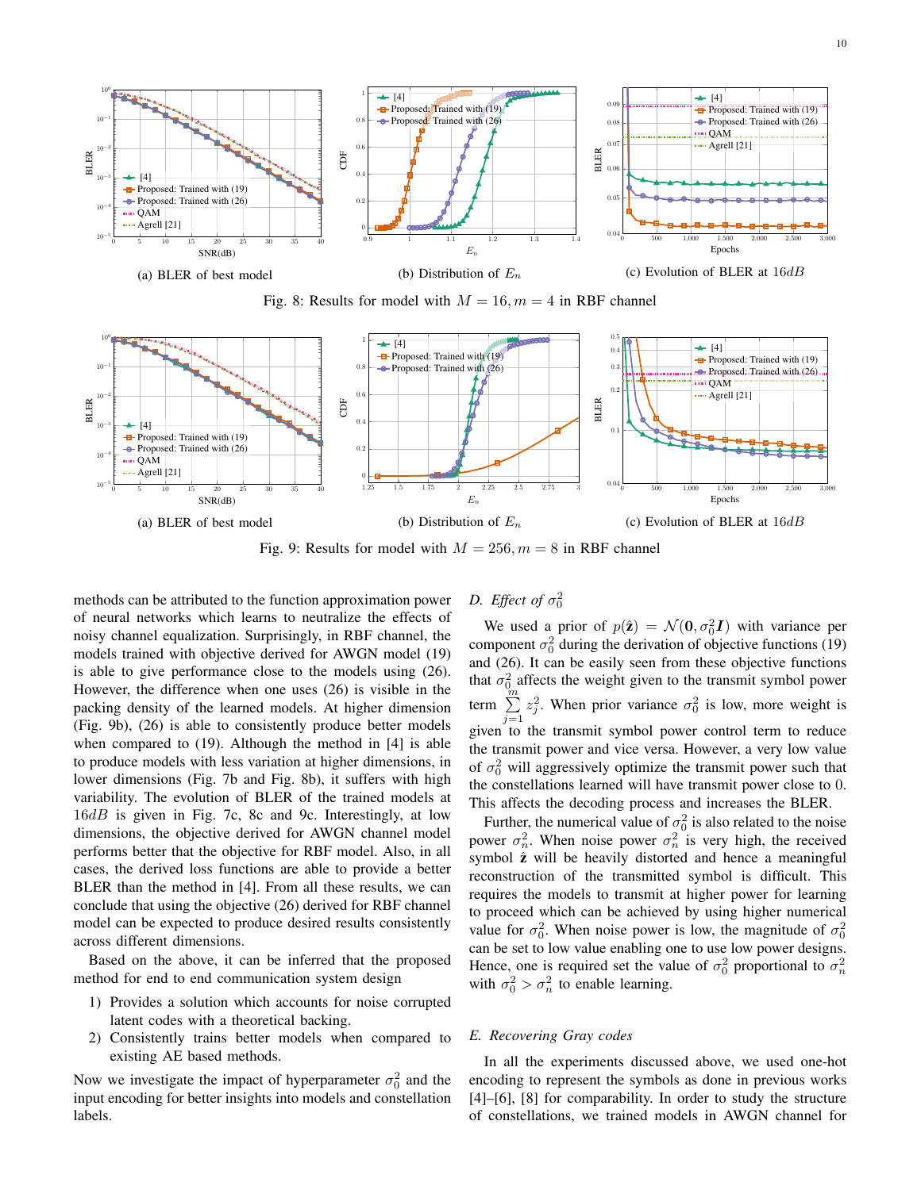





Fig. 9: Results for model with  $M = 256$ ,  $m = 8$  in RBF channel

methods can be attributed to the function approximation power of neural networks which learns to neutralize the effects of noisy channel equalization. Surprisingly, in RBF channel, the models trained with objective derived for AWGN model (19) is able to give performance close to the models using (26). However, the difference when one uses (26) is visible in the packing density of the learned models. At higher dimension (Fig. 9b), (26) is able to consistently produce better models when compared to (19). Although the method in [4] is able to produce models with less variation at higher dimensions, in lower dimensions (Fig. 7b and Fig. 8b), it suffers with high variability. The evolution of BLER of the trained models at 16dB is given in Fig. 7c, 8c and 9c. Interestingly, at low dimensions, the objective derived for AWGN channel model performs better that the objective for RBF model. Also, in all cases, the derived loss functions are able to provide a better BLER than the method in [4]. From all these results, we can conclude that using the objective (26) derived for RBF channel model can be expected to produce desired results consistently across different dimensions.

Based on the above, it can be inferred that the proposed method for end to end communication system design

- 1) Provides a solution which accounts for noise corrupted latent codes with a theoretical backing.
- 2) Consistently trains better models when compared to existing AE based methods.

Now we investigate the impact of hyperparameter  $\sigma_0^2$  and the input encoding for better insights into models and constellation labels.

# *D. Effect of*  $\sigma_0^2$

We used a prior of  $p(\hat{z}) = \mathcal{N}(0, \sigma_0^2 I)$  with variance per component  $\sigma_0^2$  during the derivation of objective functions (19) and (26). It can be easily seen from these objective functions that  $\sigma_0^2$  affects the weight given to the transmit symbol power term  $\sum_{m=1}^{\infty}$  $j=1$  $z_j^2$ . When prior variance  $\sigma_0^2$  is low, more weight is given to the transmit symbol power control term to reduce the transmit power and vice versa. However, a very low value of  $\sigma_0^2$  will aggressively optimize the transmit power such that the constellations learned will have transmit power close to 0. This affects the decoding process and increases the BLER.

Further, the numerical value of  $\sigma_0^2$  is also related to the noise power  $\sigma_n^2$ . When noise power  $\sigma_n^2$  is very high, the received symbol  $\hat{z}$  will be heavily distorted and hence a meaningful reconstruction of the transmitted symbol is difficult. This requires the models to transmit at higher power for learning to proceed which can be achieved by using higher numerical value for  $\sigma_0^2$ . When noise power is low, the magnitude of  $\sigma_0^2$ can be set to low value enabling one to use low power designs. Hence, one is required set the value of  $\sigma_0^2$  proportional to  $\sigma_n^2$ with  $\sigma_0^2 > \sigma_n^2$  to enable learning.

# *E. Recovering Gray codes*

In all the experiments discussed above, we used one-hot encoding to represent the symbols as done in previous works [4]–[6], [8] for comparability. In order to study the structure of constellations, we trained models in AWGN channel for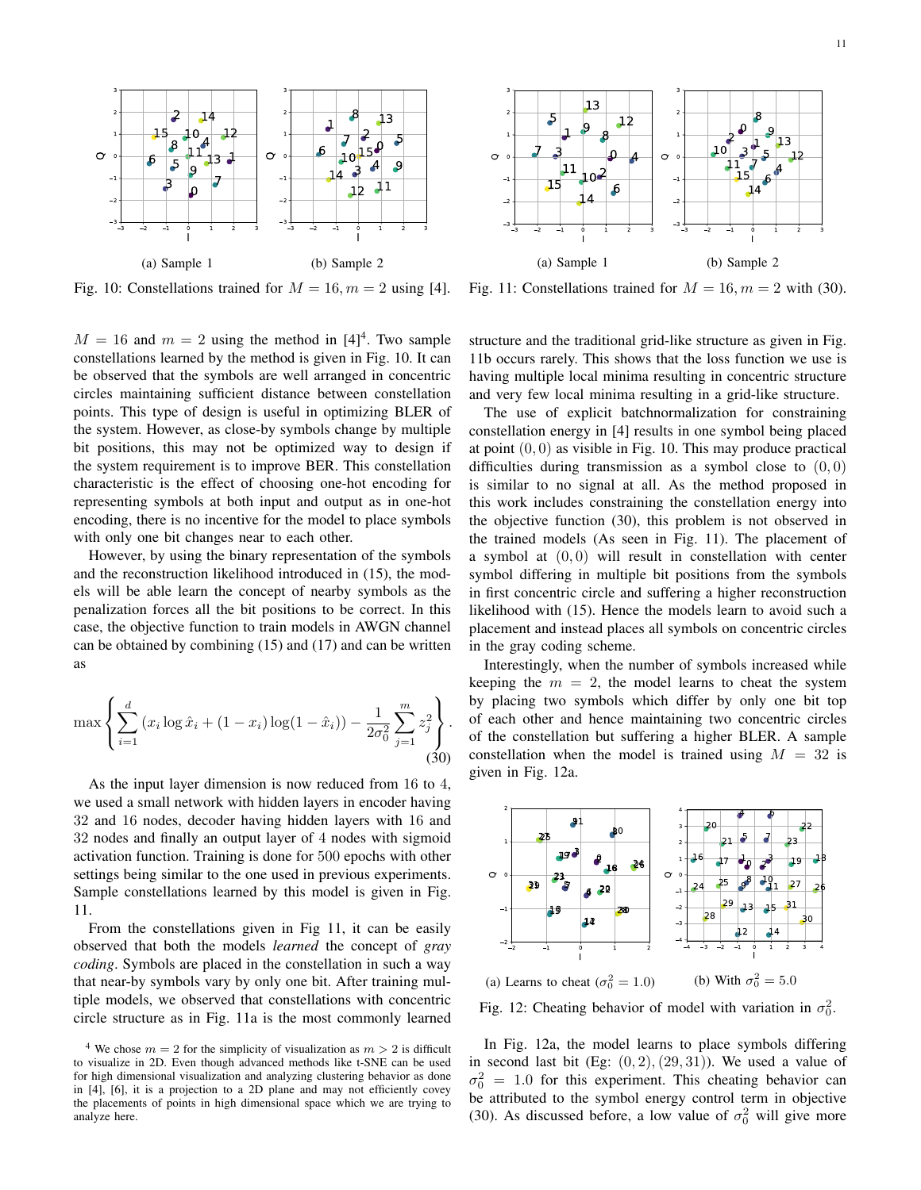

Fig. 10: Constellations trained for  $M = 16, m = 2$  using [4].

 $M = 16$  and  $m = 2$  using the method in [4]<sup>4</sup>. Two sample constellations learned by the method is given in Fig. 10. It can be observed that the symbols are well arranged in concentric circles maintaining sufficient distance between constellation points. This type of design is useful in optimizing BLER of the system. However, as close-by symbols change by multiple bit positions, this may not be optimized way to design if the system requirement is to improve BER. This constellation characteristic is the effect of choosing one-hot encoding for representing symbols at both input and output as in one-hot encoding, there is no incentive for the model to place symbols with only one bit changes near to each other.

However, by using the binary representation of the symbols and the reconstruction likelihood introduced in (15), the models will be able learn the concept of nearby symbols as the penalization forces all the bit positions to be correct. In this case, the objective function to train models in AWGN channel can be obtained by combining (15) and (17) and can be written as

$$
\max \left\{ \sum_{i=1}^{d} \left( x_i \log \hat{x}_i + (1 - x_i) \log(1 - \hat{x}_i) \right) - \frac{1}{2\sigma_0^2} \sum_{j=1}^{m} z_j^2 \right\}.
$$
\n(30)

As the input layer dimension is now reduced from 16 to 4, we used a small network with hidden layers in encoder having and 16 nodes, decoder having hidden layers with 16 and nodes and finally an output layer of 4 nodes with sigmoid activation function. Training is done for 500 epochs with other settings being similar to the one used in previous experiments. Sample constellations learned by this model is given in Fig. 11.

From the constellations given in Fig 11, it can be easily observed that both the models *learned* the concept of *gray coding*. Symbols are placed in the constellation in such a way that near-by symbols vary by only one bit. After training multiple models, we observed that constellations with concentric circle structure as in Fig. 11a is the most commonly learned

Fig. 11: Constellations trained for  $M = 16, m = 2$  with (30).

structure and the traditional grid-like structure as given in Fig. 11b occurs rarely. This shows that the loss function we use is having multiple local minima resulting in concentric structure and very few local minima resulting in a grid-like structure.

The use of explicit batchnormalization for constraining constellation energy in [4] results in one symbol being placed at point  $(0, 0)$  as visible in Fig. 10. This may produce practical difficulties during transmission as a symbol close to  $(0, 0)$ is similar to no signal at all. As the method proposed in this work includes constraining the constellation energy into the objective function (30), this problem is not observed in the trained models (As seen in Fig. 11). The placement of a symbol at  $(0, 0)$  will result in constellation with center symbol differing in multiple bit positions from the symbols in first concentric circle and suffering a higher reconstruction likelihood with (15). Hence the models learn to avoid such a placement and instead places all symbols on concentric circles in the gray coding scheme.

Interestingly, when the number of symbols increased while keeping the  $m = 2$ , the model learns to cheat the system by placing two symbols which differ by only one bit top of each other and hence maintaining two concentric circles of the constellation but suffering a higher BLER. A sample constellation when the model is trained using  $M = 32$  is given in Fig. 12a.



Fig. 12: Cheating behavior of model with variation in  $\sigma_0^2$ .

In Fig. 12a, the model learns to place symbols differing in second last bit (Eg:  $(0, 2), (29, 31)$ ). We used a value of  $\sigma_0^2 = 1.0$  for this experiment. This cheating behavior can be attributed to the symbol energy control term in objective (30). As discussed before, a low value of  $\sigma_0^2$  will give more

<sup>&</sup>lt;sup>4</sup> We chose  $m = 2$  for the simplicity of visualization as  $m > 2$  is difficult to visualize in 2D. Even though advanced methods like t-SNE can be used for high dimensional visualization and analyzing clustering behavior as done in [4], [6], it is a projection to a 2D plane and may not efficiently covey the placements of points in high dimensional space which we are trying to analyze here.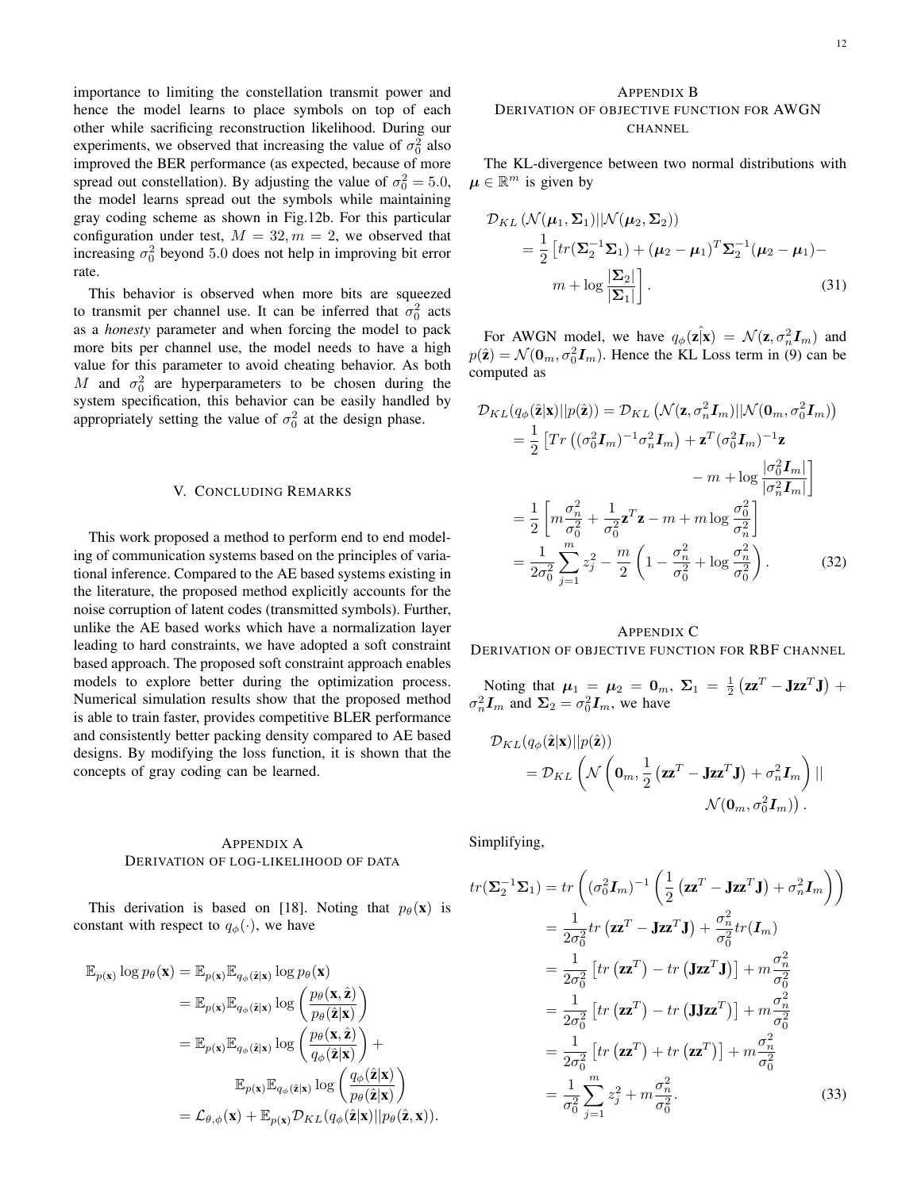importance to limiting the constellation transmit power and hence the model learns to place symbols on top of each other while sacrificing reconstruction likelihood. During our experiments, we observed that increasing the value of  $\sigma_0^2$  also improved the BER performance (as expected, because of more spread out constellation). By adjusting the value of  $\sigma_0^2 = 5.0$ , the model learns spread out the symbols while maintaining gray coding scheme as shown in Fig.12b. For this particular configuration under test,  $M = 32, m = 2$ , we observed that increasing  $\sigma_0^2$  beyond 5.0 does not help in improving bit error rate.

This behavior is observed when more bits are squeezed to transmit per channel use. It can be inferred that  $\sigma_0^2$  acts as a *honesty* parameter and when forcing the model to pack more bits per channel use, the model needs to have a high value for this parameter to avoid cheating behavior. As both M and  $\sigma_0^2$  are hyperparameters to be chosen during the system specification, this behavior can be easily handled by appropriately setting the value of  $\sigma_0^2$  at the design phase.

#### V. CONCLUDING REMARKS

This work proposed a method to perform end to end modeling of communication systems based on the principles of variational inference. Compared to the AE based systems existing in the literature, the proposed method explicitly accounts for the noise corruption of latent codes (transmitted symbols). Further, unlike the AE based works which have a normalization layer leading to hard constraints, we have adopted a soft constraint based approach. The proposed soft constraint approach enables models to explore better during the optimization process. Numerical simulation results show that the proposed method is able to train faster, provides competitive BLER performance and consistently better packing density compared to AE based designs. By modifying the loss function, it is shown that the concepts of gray coding can be learned.

#### APPENDIX A DERIVATION OF LOG-LIKELIHOOD OF DATA

This derivation is based on [18]. Noting that  $p_\theta(\mathbf{x})$  is constant with respect to  $q_{\phi}(\cdot)$ , we have

$$
\mathbb{E}_{p(\mathbf{x})} \log p_{\theta}(\mathbf{x}) = \mathbb{E}_{p(\mathbf{x})} \mathbb{E}_{q_{\phi}(\hat{\mathbf{z}}|\mathbf{x})} \log p_{\theta}(\mathbf{x})
$$
  
\n
$$
= \mathbb{E}_{p(\mathbf{x})} \mathbb{E}_{q_{\phi}(\hat{\mathbf{z}}|\mathbf{x})} \log \left( \frac{p_{\theta}(\mathbf{x}, \hat{\mathbf{z}})}{p_{\theta}(\hat{\mathbf{z}}|\mathbf{x})} \right)
$$
  
\n
$$
= \mathbb{E}_{p(\mathbf{x})} \mathbb{E}_{q_{\phi}(\hat{\mathbf{z}}|\mathbf{x})} \log \left( \frac{p_{\theta}(\mathbf{x}, \hat{\mathbf{z}})}{q_{\phi}(\hat{\mathbf{z}}|\mathbf{x})} \right) +
$$
  
\n
$$
\mathbb{E}_{p(\mathbf{x})} \mathbb{E}_{q_{\phi}(\hat{\mathbf{z}}|\mathbf{x})} \log \left( \frac{q_{\phi}(\hat{\mathbf{z}}|\mathbf{x})}{p_{\theta}(\hat{\mathbf{z}}|\mathbf{x})} \right)
$$
  
\n
$$
= \mathcal{L}_{\theta, \phi}(\mathbf{x}) + \mathbb{E}_{p(\mathbf{x})} \mathcal{D}_{KL}(q_{\phi}(\hat{\mathbf{z}}|\mathbf{x}) || p_{\theta}(\hat{\mathbf{z}}, \mathbf{x})).
$$

# APPENDIX B DERIVATION OF OBJECTIVE FUNCTION FOR AWGN CHANNEL

The KL-divergence between two normal distributions with  $\mu \in \mathbb{R}^m$  is given by

$$
\mathcal{D}_{KL} \left( \mathcal{N}(\boldsymbol{\mu}_1, \boldsymbol{\Sigma}_1) || \mathcal{N}(\boldsymbol{\mu}_2, \boldsymbol{\Sigma}_2) \right)
$$
\n
$$
= \frac{1}{2} \left[ tr(\boldsymbol{\Sigma}_2^{-1} \boldsymbol{\Sigma}_1) + (\boldsymbol{\mu}_2 - \boldsymbol{\mu}_1)^T \boldsymbol{\Sigma}_2^{-1} (\boldsymbol{\mu}_2 - \boldsymbol{\mu}_1) - m + \log \frac{|\boldsymbol{\Sigma}_2|}{|\boldsymbol{\Sigma}_1|} \right].
$$
\n(31)

For AWGN model, we have  $q_{\phi}(\mathbf{z}|\mathbf{x}) = \mathcal{N}(\mathbf{z}, \sigma_n^2 \mathbf{I}_m)$  and  $p(\hat{\mathbf{z}}) = \mathcal{N}(\mathbf{0}_m, \sigma_0^2 \mathbf{I}_m)$ . Hence the KL Loss term in (9) can be computed as

$$
\mathcal{D}_{KL}(q_{\phi}(\hat{\mathbf{z}}|\mathbf{x})||p(\hat{\mathbf{z}})) = \mathcal{D}_{KL}\left(\mathcal{N}(\mathbf{z}, \sigma_n^2 \mathbf{I}_m)||\mathcal{N}(\mathbf{0}_m, \sigma_0^2 \mathbf{I}_m)\right)
$$
  
\n
$$
= \frac{1}{2}\left[Tr\left((\sigma_0^2 \mathbf{I}_m)^{-1}\sigma_n^2 \mathbf{I}_m\right) + \mathbf{z}^T(\sigma_0^2 \mathbf{I}_m)^{-1}\mathbf{z} - m + \log\frac{|\sigma_0^2 \mathbf{I}_m|}{|\sigma_n^2 \mathbf{I}_m|}\right]
$$
  
\n
$$
= \frac{1}{2}\left[m\frac{\sigma_n^2}{\sigma_0^2} + \frac{1}{\sigma_0^2}\mathbf{z}^T \mathbf{z} - m + m\log\frac{\sigma_0^2}{\sigma_n^2}\right]
$$
  
\n
$$
= \frac{1}{2\sigma_0^2}\sum_{j=1}^m z_j^2 - \frac{m}{2}\left(1 - \frac{\sigma_n^2}{\sigma_0^2} + \log\frac{\sigma_n^2}{\sigma_0^2}\right).
$$
 (32)

### APPENDIX C DERIVATION OF OBJECTIVE FUNCTION FOR RBF CHANNEL

Noting that  $\mu_1 = \mu_2 = 0_m$ ,  $\Sigma_1 = \frac{1}{2} (\mathbf{z} \mathbf{z}^T - \mathbf{J} \mathbf{z} \mathbf{z}^T \mathbf{J}) +$  $\sigma_n^2 \mathbf{I}_m$  and  $\Sigma_2 = \sigma_0^2 \mathbf{I}_m$ , we have

$$
\mathcal{D}_{KL}(q_{\phi}(\hat{\mathbf{z}}|\mathbf{x})||p(\hat{\mathbf{z}}))
$$
  
=  $\mathcal{D}_{KL}\left(\mathcal{N}\left(\mathbf{0}_m, \frac{1}{2} \left(\mathbf{z}\mathbf{z}^T - \mathbf{J}\mathbf{z}\mathbf{z}^T\mathbf{J}\right) + \sigma_n^2 \mathbf{I}_m\right) ||$   
 $\mathcal{N}(\mathbf{0}_m, \sigma_0^2 \mathbf{I}_m)).$ 

Simplifying,

$$
tr(\Sigma_2^{-1}\Sigma_1) = tr\left((\sigma_0^2 I_m)^{-1} \left(\frac{1}{2} (\mathbf{z}\mathbf{z}^T - \mathbf{J}\mathbf{z}\mathbf{z}^T \mathbf{J}) + \sigma_n^2 I_m\right)\right)
$$
  
\n
$$
= \frac{1}{2\sigma_0^2} tr(\mathbf{z}\mathbf{z}^T - \mathbf{J}\mathbf{z}\mathbf{z}^T \mathbf{J}) + \frac{\sigma_n^2}{\sigma_0^2} tr(I_m)
$$
  
\n
$$
= \frac{1}{2\sigma_0^2} \left[ tr(\mathbf{z}\mathbf{z}^T) - tr(\mathbf{J}\mathbf{z}\mathbf{z}^T \mathbf{J}) \right] + m\frac{\sigma_n^2}{\sigma_0^2}
$$
  
\n
$$
= \frac{1}{2\sigma_0^2} \left[ tr(\mathbf{z}\mathbf{z}^T) - tr(\mathbf{J}\mathbf{J}\mathbf{z}\mathbf{z}^T) \right] + m\frac{\sigma_n^2}{\sigma_0^2}
$$
  
\n
$$
= \frac{1}{2\sigma_0^2} \left[ tr(\mathbf{z}\mathbf{z}^T) + tr(\mathbf{z}\mathbf{z}^T) \right] + m\frac{\sigma_n^2}{\sigma_0^2}
$$
  
\n
$$
= \frac{1}{\sigma_0^2} \sum_{j=1}^m z_j^2 + m\frac{\sigma_n^2}{\sigma_0^2}.
$$
 (33)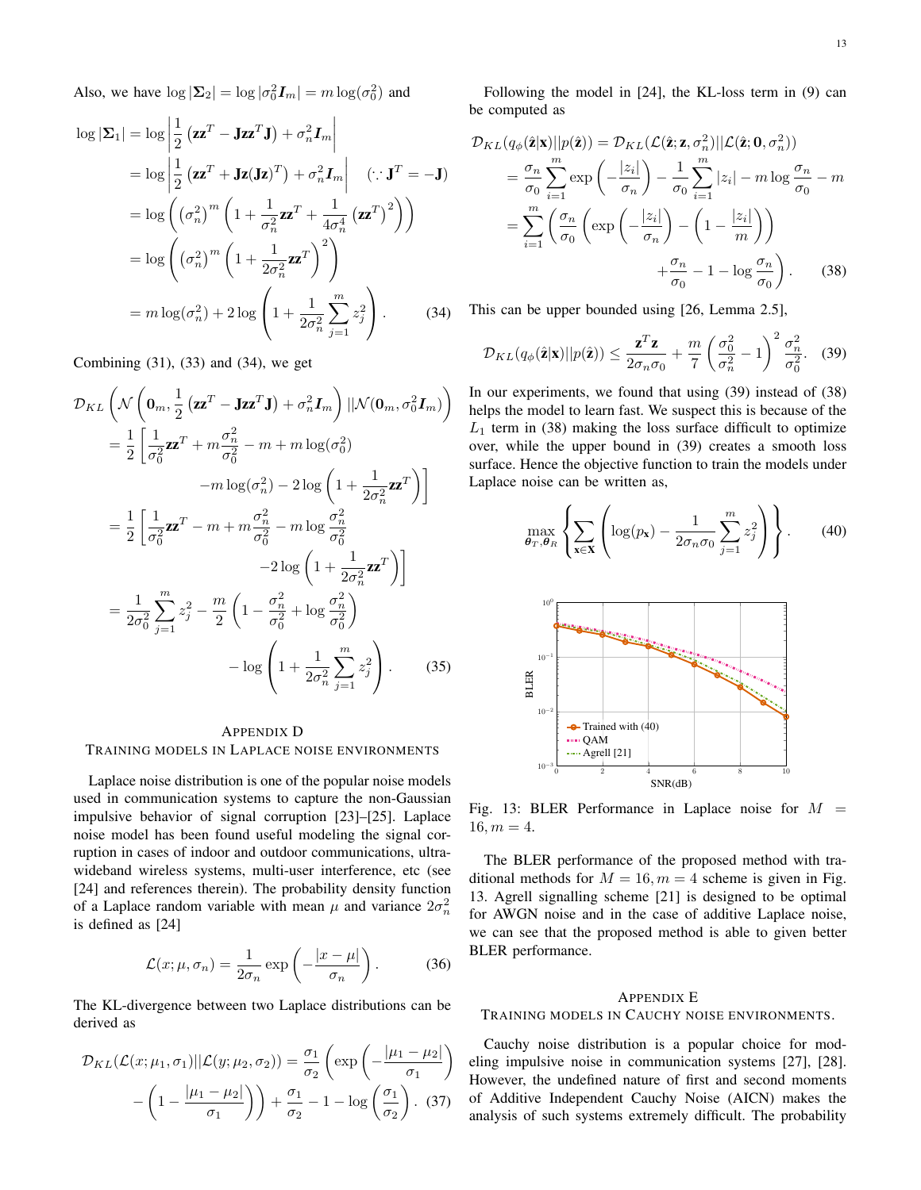Also, we have  $\log |\Sigma_2| = \log |\sigma_0^2 I_m| = m \log(\sigma_0^2)$  and

$$
\log |\mathbf{\Sigma}_{1}| = \log \left| \frac{1}{2} \left( \mathbf{z} \mathbf{z}^{T} - \mathbf{J} \mathbf{z} \mathbf{z}^{T} \mathbf{J} \right) + \sigma_{n}^{2} \mathbf{I}_{m} \right|
$$
  
\n
$$
= \log \left| \frac{1}{2} \left( \mathbf{z} \mathbf{z}^{T} + \mathbf{J} \mathbf{z} (\mathbf{J} \mathbf{z})^{T} \right) + \sigma_{n}^{2} \mathbf{I}_{m} \right| \quad (\because \mathbf{J}^{T} = -\mathbf{J})
$$
  
\n
$$
= \log \left( (\sigma_{n}^{2})^{m} \left( 1 + \frac{1}{\sigma_{n}^{2}} \mathbf{z} \mathbf{z}^{T} + \frac{1}{4 \sigma_{n}^{4}} \left( \mathbf{z} \mathbf{z}^{T} \right)^{2} \right) \right)
$$
  
\n
$$
= \log \left( (\sigma_{n}^{2})^{m} \left( 1 + \frac{1}{2 \sigma_{n}^{2}} \mathbf{z} \mathbf{z}^{T} \right)^{2} \right)
$$
  
\n
$$
= m \log(\sigma_{n}^{2}) + 2 \log \left( 1 + \frac{1}{2 \sigma_{n}^{2}} \sum_{j=1}^{m} z_{j}^{2} \right). \tag{34}
$$

Combining (31), (33) and (34), we get

$$
\mathcal{D}_{KL}\left(\mathcal{N}\left(\mathbf{0}_m, \frac{1}{2}\left(\mathbf{z}\mathbf{z}^T - \mathbf{J}\mathbf{z}\mathbf{z}^T\mathbf{J}\right) + \sigma_n^2 \mathbf{I}_m\right) ||\mathcal{N}(\mathbf{0}_m, \sigma_0^2 \mathbf{I}_m)\right)
$$
\n
$$
= \frac{1}{2}\left[\frac{1}{\sigma_0^2}\mathbf{z}\mathbf{z}^T + m\frac{\sigma_n^2}{\sigma_0^2} - m + m\log(\sigma_0^2)\right]
$$
\n
$$
-m\log(\sigma_n^2) - 2\log\left(1 + \frac{1}{2\sigma_n^2}\mathbf{z}\mathbf{z}^T\right)\right]
$$
\n
$$
= \frac{1}{2}\left[\frac{1}{\sigma_0^2}\mathbf{z}\mathbf{z}^T - m + m\frac{\sigma_n^2}{\sigma_0^2} - m\log\frac{\sigma_n^2}{\sigma_0^2}\right]
$$
\n
$$
-2\log\left(1 + \frac{1}{2\sigma_n^2}\mathbf{z}\mathbf{z}^T\right)\right]
$$
\n
$$
= \frac{1}{2\sigma_0^2}\sum_{j=1}^m z_j^2 - \frac{m}{2}\left(1 - \frac{\sigma_n^2}{\sigma_0^2} + \log\frac{\sigma_n^2}{\sigma_0^2}\right)
$$
\n
$$
- \log\left(1 + \frac{1}{2\sigma_n^2}\sum_{j=1}^m z_j^2\right).
$$
\n(35)

# APPENDIX D TRAINING MODELS IN LAPLACE NOISE ENVIRONMENTS

Laplace noise distribution is one of the popular noise models used in communication systems to capture the non-Gaussian impulsive behavior of signal corruption [23]–[25]. Laplace noise model has been found useful modeling the signal corruption in cases of indoor and outdoor communications, ultrawideband wireless systems, multi-user interference, etc (see [24] and references therein). The probability density function of a Laplace random variable with mean  $\mu$  and variance  $2\sigma_n^2$ is defined as [24]

$$
\mathcal{L}(x; \mu, \sigma_n) = \frac{1}{2\sigma_n} \exp\left(-\frac{|x - \mu|}{\sigma_n}\right). \tag{36}
$$

The KL-divergence between two Laplace distributions can be derived as

$$
\mathcal{D}_{KL}(\mathcal{L}(x; \mu_1, \sigma_1) || \mathcal{L}(y; \mu_2, \sigma_2)) = \frac{\sigma_1}{\sigma_2} \left( \exp\left(-\frac{|\mu_1 - \mu_2|}{\sigma_1}\right) - \left(1 - \frac{|\mu_1 - \mu_2|}{\sigma_1}\right)\right) + \frac{\sigma_1}{\sigma_2} - 1 - \log\left(\frac{\sigma_1}{\sigma_2}\right). \tag{37}
$$

Following the model in [24], the KL-loss term in (9) can be computed as

$$
\mathcal{D}_{KL}(q_{\phi}(\hat{\mathbf{z}}|\mathbf{x})||p(\hat{\mathbf{z}})) = \mathcal{D}_{KL}(\mathcal{L}(\hat{\mathbf{z}};\mathbf{z},\sigma_n^2)||\mathcal{L}(\hat{\mathbf{z}};\mathbf{0},\sigma_n^2))
$$
\n
$$
= \frac{\sigma_n}{\sigma_0} \sum_{i=1}^m \exp\left(-\frac{|z_i|}{\sigma_n}\right) - \frac{1}{\sigma_0} \sum_{i=1}^m |z_i| - m \log \frac{\sigma_n}{\sigma_0} - m
$$
\n
$$
= \sum_{i=1}^m \left(\frac{\sigma_n}{\sigma_0} \left(\exp\left(-\frac{|z_i|}{\sigma_n}\right) - \left(1 - \frac{|z_i|}{m}\right)\right)\right)
$$
\n
$$
+ \frac{\sigma_n}{\sigma_0} - 1 - \log \frac{\sigma_n}{\sigma_0}\right). \tag{38}
$$

This can be upper bounded using [26, Lemma 2.5],

$$
\mathcal{D}_{KL}(q_{\phi}(\hat{\mathbf{z}}|\mathbf{x})||p(\hat{\mathbf{z}})) \leq \frac{\mathbf{z}^T \mathbf{z}}{2\sigma_n \sigma_0} + \frac{m}{7} \left(\frac{\sigma_0^2}{\sigma_n^2} - 1\right)^2 \frac{\sigma_n^2}{\sigma_0^2}.
$$
 (39)

In our experiments, we found that using (39) instead of (38) helps the model to learn fast. We suspect this is because of the  $L_1$  term in (38) making the loss surface difficult to optimize over, while the upper bound in (39) creates a smooth loss surface. Hence the objective function to train the models under Laplace noise can be written as,

$$
\max_{\boldsymbol{\theta}_T, \boldsymbol{\theta}_R} \left\{ \sum_{\mathbf{x} \in \mathbf{X}} \left( \log(p_\mathbf{x}) - \frac{1}{2\sigma_n \sigma_0} \sum_{j=1}^m z_j^2 \right) \right\}.
$$
 (40)



Fig. 13: BLER Performance in Laplace noise for  $M =$  $16, m = 4.$ 

The BLER performance of the proposed method with traditional methods for  $M = 16$ ,  $m = 4$  scheme is given in Fig. 13. Agrell signalling scheme [21] is designed to be optimal for AWGN noise and in the case of additive Laplace noise, we can see that the proposed method is able to given better BLER performance.

#### APPENDIX E

#### TRAINING MODELS IN CAUCHY NOISE ENVIRONMENTS.

Cauchy noise distribution is a popular choice for modeling impulsive noise in communication systems [27], [28]. However, the undefined nature of first and second moments of Additive Independent Cauchy Noise (AICN) makes the analysis of such systems extremely difficult. The probability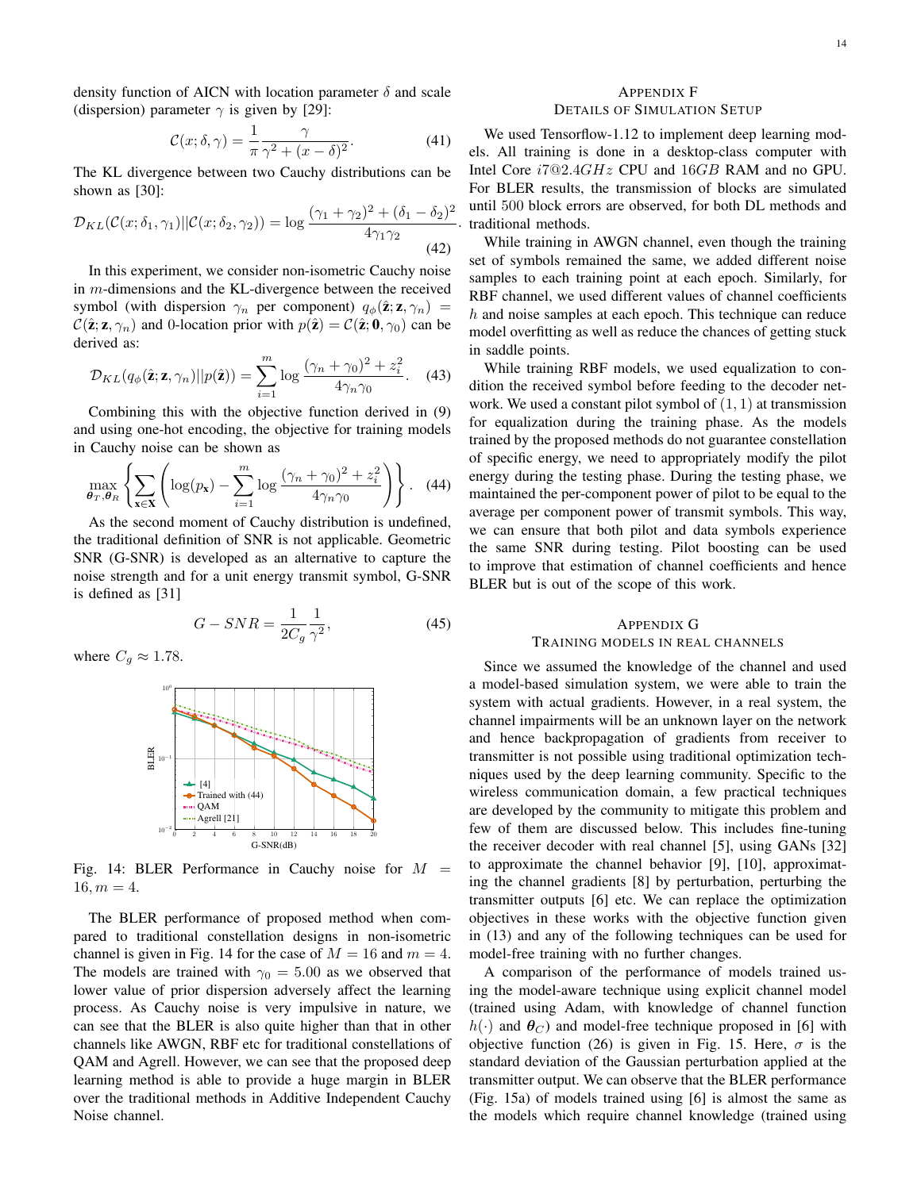density function of AICN with location parameter  $\delta$  and scale (dispersion) parameter  $\gamma$  is given by [29]:

$$
\mathcal{C}(x;\delta,\gamma) = \frac{1}{\pi} \frac{\gamma}{\gamma^2 + (x-\delta)^2}.
$$
 (41)

The KL divergence between two Cauchy distributions can be shown as [30]:

$$
\mathcal{D}_{KL}(\mathcal{C}(x;\delta_1,\gamma_1)||\mathcal{C}(x;\delta_2,\gamma_2)) = \log \frac{(\gamma_1 + \gamma_2)^2 + (\delta_1 - \delta_2)^2}{4\gamma_1\gamma_2}
$$
\n(42)

In this experiment, we consider non-isometric Cauchy noise in m-dimensions and the KL-divergence between the received symbol (with dispersion  $\gamma_n$  per component)  $q_\phi(\hat{\mathbf{z}}; \mathbf{z}, \gamma_n)$  =  $\mathcal{C}(\hat{\mathbf{z}}; \mathbf{z}, \gamma_n)$  and 0-location prior with  $p(\hat{\mathbf{z}}) = \mathcal{C}(\hat{\mathbf{z}}; \mathbf{0}, \gamma_0)$  can be derived as:

$$
\mathcal{D}_{KL}(q_{\phi}(\hat{\mathbf{z}}; \mathbf{z}, \gamma_n)||p(\hat{\mathbf{z}})) = \sum_{i=1}^{m} \log \frac{(\gamma_n + \gamma_0)^2 + z_i^2}{4\gamma_n \gamma_0}.
$$
 (43)

Combining this with the objective function derived in (9) and using one-hot encoding, the objective for training models in Cauchy noise can be shown as

$$
\max_{\boldsymbol{\theta}_T, \boldsymbol{\theta}_R} \left\{ \sum_{\mathbf{x} \in \mathbf{X}} \left( \log(p_\mathbf{x}) - \sum_{i=1}^m \log \frac{(\gamma_n + \gamma_0)^2 + z_i^2}{4\gamma_n \gamma_0} \right) \right\}.
$$
 (44)

As the second moment of Cauchy distribution is undefined, the traditional definition of SNR is not applicable. Geometric SNR (G-SNR) is developed as an alternative to capture the noise strength and for a unit energy transmit symbol, G-SNR is defined as [31]

$$
G-SNR = \frac{1}{2C_g} \frac{1}{\gamma^2},\tag{45}
$$

where  $C_q \approx 1.78$ .



Fig. 14: BLER Performance in Cauchy noise for  $M =$  $16, m = 4.$ 

The BLER performance of proposed method when compared to traditional constellation designs in non-isometric channel is given in Fig. 14 for the case of  $M = 16$  and  $m = 4$ . The models are trained with  $\gamma_0 = 5.00$  as we observed that lower value of prior dispersion adversely affect the learning process. As Cauchy noise is very impulsive in nature, we can see that the BLER is also quite higher than that in other channels like AWGN, RBF etc for traditional constellations of QAM and Agrell. However, we can see that the proposed deep learning method is able to provide a huge margin in BLER over the traditional methods in Additive Independent Cauchy Noise channel.

# APPENDIX F DETAILS OF SIMULATION SETUP

. traditional methods. We used Tensorflow-1.12 to implement deep learning models. All training is done in a desktop-class computer with Intel Core  $i7@2.4GHz$  CPU and  $16GB$  RAM and no GPU. For BLER results, the transmission of blocks are simulated until 500 block errors are observed, for both DL methods and

While training in AWGN channel, even though the training set of symbols remained the same, we added different noise samples to each training point at each epoch. Similarly, for RBF channel, we used different values of channel coefficients  $h$  and noise samples at each epoch. This technique can reduce model overfitting as well as reduce the chances of getting stuck in saddle points.

While training RBF models, we used equalization to condition the received symbol before feeding to the decoder network. We used a constant pilot symbol of  $(1, 1)$  at transmission for equalization during the training phase. As the models trained by the proposed methods do not guarantee constellation of specific energy, we need to appropriately modify the pilot energy during the testing phase. During the testing phase, we maintained the per-component power of pilot to be equal to the average per component power of transmit symbols. This way, we can ensure that both pilot and data symbols experience the same SNR during testing. Pilot boosting can be used to improve that estimation of channel coefficients and hence BLER but is out of the scope of this work.

#### APPENDIX G TRAINING MODELS IN REAL CHANNELS

Since we assumed the knowledge of the channel and used a model-based simulation system, we were able to train the system with actual gradients. However, in a real system, the channel impairments will be an unknown layer on the network and hence backpropagation of gradients from receiver to transmitter is not possible using traditional optimization techniques used by the deep learning community. Specific to the wireless communication domain, a few practical techniques are developed by the community to mitigate this problem and few of them are discussed below. This includes fine-tuning the receiver decoder with real channel [5], using GANs [32] to approximate the channel behavior [9], [10], approximating the channel gradients [8] by perturbation, perturbing the transmitter outputs [6] etc. We can replace the optimization objectives in these works with the objective function given in (13) and any of the following techniques can be used for model-free training with no further changes.

A comparison of the performance of models trained using the model-aware technique using explicit channel model (trained using Adam, with knowledge of channel function  $h(\cdot)$  and  $\theta_C$ ) and model-free technique proposed in [6] with objective function (26) is given in Fig. 15. Here,  $\sigma$  is the standard deviation of the Gaussian perturbation applied at the transmitter output. We can observe that the BLER performance (Fig. 15a) of models trained using [6] is almost the same as the models which require channel knowledge (trained using